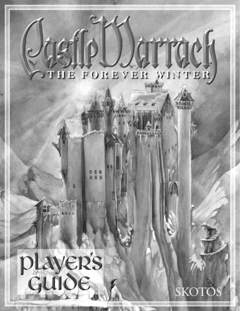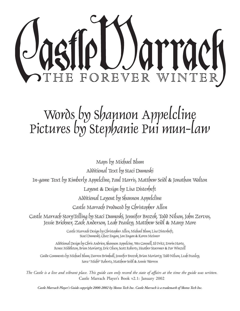

# Words by Shannon Appelcline Pictures by Stephanie Pui mun-law

Maps by Michael Blum Additional Text by Staci Dumoski In-game Text by Kimberly Appelcline, Paul Harris, Matthew Seidl & Jonathan Walton Layout & Design by Lisa Disterheft Additional Layout by Shannon Appelcline Castle Marrach Produced by Christopher Allen Castle Marrach StoryTelling by Staci Dumoski, Jennifer Brozek, Todd Nilson, John Zervos, Jessie Brickner, Zack Anderson, Leah Peasley, Matthew Seidl & Many More Castle Marrach Design by Christopher Allen, Michael Blum, Lisa Disterheft, Staci Dumoski, Chaz Engan, Jan Engan & Karen Meisner Additional Design by Chris Andrien, Shannon Appelcine, Wes Connell, Ed Fritz, Erwin Harte, Renee Middleton, Brian Moriarty, Eric Olsen, Scott Roberts, Heather Stoermer & Par Winzell Guide Comments by Michael Blum, Darren Brimhall, Jennifer Brozek, Brian Moriarty, Todd Nilson, Leah Peasley, Sara "Michi" Roberts, Matthew Seidl & Annie Warren *The Castle is a live and vibrant place. This guide can only record the state of affairs at the time the guide was written.*

Castle Marrach Player's Book v2.1: January 2002

*Castle Marrach Player's Guide copyright 2000-2002 by Skotos Tech Inc. Castle Marrach is a trademark of Skotos Tech Inc.*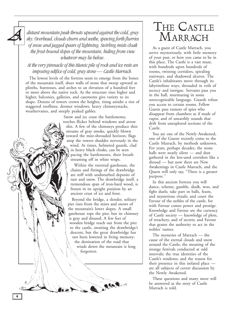*distant mountain peak thrusts upward against the cold, gray sky. Overhead, clouds churn and seethe, spewing forth flurries of snow and jagged spears of lightning. Swirling mists cloak the frost-bound slopes of the mountain, hiding from view whatever may lie below.*

*At the very pinnacle of this titanic pile of rock and ice rests an imposing edifice of cold, gray stone — Castle Marrach.*

The lowest levels of the fortress seem to emerge from the bones of the mountain itself, sheer walls of stone that sweep upward as plinths, buttresses, and arches to an elevation of a hundred feet or more above the native rock. As the structure rises higher and higher, balconies, galleries, and casements give variety to its shape. Dozens of towers crown the heights, rising amidst a riot of staggered rooflines, dormer windows, heavy chimneystacks, weathervanes, and steeply peaked gables.

> Snow and ice crust the battlements; torches flicker behind windows and arrow slits. A few of the chimneys produce thin streams of gray smoke, quickly blown toward the mist-shrouded horizon; flags atop the towers shudder nervously in the wind. At times, helmeted guards, clad in heavy black cloaks, can be seen pacing the battlements, their breath streaming off in white wisps.

Within the turreted gatehouse, the chains and fittings of the drawbridge are stiff with undisturbed deposits of rust and snow. The drawbridge itself, a tremendous span of iron-hard wood, is frozen in its upright position by an ancient crust of ice and frost.

Beyond the bridge, a slender, solitary pier rises from the mists and snows of the mountain's lower slopes. A small gatehouse tops the pier, but its chimney is gray and disused. A few feet of wooden bridge reach out from the pier to the castle, awaiting the drawbridge's descent, but the great drawbridge has not been lowered in living memory; the destination of the road that winds down the mountain is long forgotten.

**AKAJ** 

# THE CASTLE MARRACH

As a guest of Castle Marrach, you arrive mysteriously, with little memory of your past, or how you came to be in this place. The Castle is a vast maze, with hundreds upon hundreds of rooms, twisting corridors, spiraling stairways, and shadowed alcoves. The Castle's inhabitants move through its labyrinthine ways, shrouded in veils of secrecy and intrigue. Servants pass you in the hall, murmuring in some unrecognizable language. Guards refuse you access to certain rooms. Fellow Guests pass rumors of spies who disappear from chambers as if made of vapor, and of unearthly sounds that drift from unexplored sections of the Castle.

You are one of the Newly Awakened, one of the Guests recently come to the Castle Marrach, by methods unknown. For years, perhaps decades, the stone halls were nearly silent — and dust gathered in the less-used corridors like a shroud — but now there are New Awakenings in Castle Marrach, and the Queen will only say, "There is a greater purpose."

In this ancient fortress you will dance, scheme, gamble, skulk, woo, and fight duels; take part in balls, feasts, and mysterious rituals; and court the Favour of the nobles of the castle, for with Favour comes power and prestige. Knowledge and Favour are the currency of Castle society — knowledge of plots, of treachery, and of secrets; and Favour that grants the authority to act in the nobles' names.

The mysteries of Marrach — the cause of the eternal clouds and snow around the Castle; the meaning of the strange festivals conducted at odd intervals; the true identities of the Castle's residents; and the reason for their presence in this isolated place are all subjects of covert discussion by the Newly Awakened.

These questions and many more will be answered as the story of Castle Marrach is told.

<span id="page-3-0"></span> $\mathcal{A}% _{0}\left( t\right)$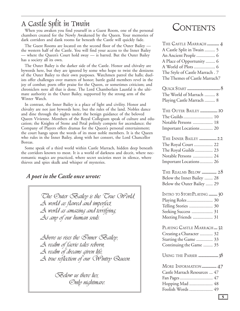## A Castle Split in Twain

When you awaken you find yourself in a Guest Room, one of the personal chambers created for the Newly Awakened by the Queen. Your memories of dark corridors and dank rooms far beneath the Castle will quickly fade.

The Guest Rooms are located on the second floor of the Outer Bailey the western half of the Castle. You will find your access to the Inner Bailey — where the Queen's Court hold sway — is barred. But the Outer Bailey has a society all its own.

The Outer Bailey is the darker side of the Castle. Honor and chivalry are bywords here, but they are ignored by some who hope to twist the denizens of the Outer Bailey to their own purposes. Watchmen patrol the halls; duelists offer challenges over matters of honor; battle guild members revel in the joy of combat; poets offer praise for the Queen, or sometimes criticism; and chroniclers note all that is done. The Lord Chamberlain Launfal is the ultimate authority in the Outer Bailey, supported by the strong arm of the Winter Watch.

In contrast, the Inner Bailey is a place of light and civility. Honor and chivalry are not just bywords here, but the rules of the land. Nobles dance and dine through the nights under the benign guidance of the beloved Queen Vivienne. Members of the Royal Collegium speak of culture and education; the Knights of Stone and Petal politely compete for ascendance; the Company of Players offers dramas for the Queen's personal entertainment; the court hangs upon the words of its most noble members. It is the Queen who rules in the Inner Bailey, along with her consort, the Lord Chancellor Boreas.

Some speak of a third world within Castle Marrach, hidden deep beneath the corridors known to most. It is a world of darkness and deceit, where necromantic magics are practiced, where secret societies meet in silence, where thieves and spies skulk and whisper of mysteries.

## *A poet in the Castle once wrote:*



**CONTENTS** 

| THE CASTLE MARRACH  4          |
|--------------------------------|
| A Castle Split in Twain  5     |
| An Ancient People  6           |
| A Place of Opportunity  6      |
|                                |
| The Style of Castle Marrach. 7 |
| The Themes of Castle Marrach7  |

| The World of Marrach  8   |  |
|---------------------------|--|
| Playing Castle Marrach  8 |  |

| Notable Persons  18     |  |
|-------------------------|--|
| Important Locations  20 |  |

| THE INNER BAILEY  22    |  |
|-------------------------|--|
| The Royal Court  22     |  |
| The Royal Guilds  23    |  |
| Notable Persons  24     |  |
| Important Locations  26 |  |

[THE REALMS BELOW](#page-27-0) ................... 28 [Below the Inner Bailey ....... 28](#page-27-0) [Below the Outer Bailey ...... 29](#page-28-0)

| INTRO TO STORYPLAYING  30 |  |
|---------------------------|--|
| Playing Roles  30         |  |
| Telling Stories  30       |  |
| Seeking Success  31       |  |
| Meeting Friends  31       |  |

[PLAYING CASTLE MARRACH.... 32](#page-31-0) [Creating a Character](#page-31-0) ........... 32 [Starting the Game .............. 33](#page-32-0) [Continuing the Game ........ 35](#page-34-0)

USING THE PARSER [....................... 38](#page-37-0)

| MORE INFORMATION  47         |  |
|------------------------------|--|
| Castle Marrach Resources  47 |  |
|                              |  |
| Hopping Mad  48              |  |
| Foolish Words  49            |  |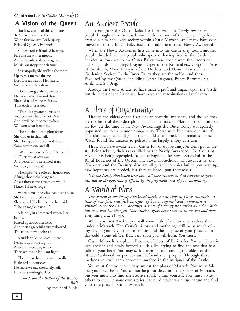## <span id="page-5-0"></span>A Vision of the Queen

But how can all of this compare To She who entered then ... When first we saw Her Majesty, Beloved Queen Vivienne?

She entered as if trailed by stars, Pale like the winter moon, And suddenly a silence reigned ... Musicians stopped their tune.

So tranquilly She walked the room Up to Her marble throne. Lord Boreas was by Her side ... So brilliantly they shone!

Then lovingly She spoke to us. Her voice was calm and clear. She told us of Her care for us, That each of us is dear.

"There is a greater purpose to Your presence here," quoth She. And it will be important when We learn what it may be.

The role that destin plots for us, She told us in that hall, Shall bring both succor and release Somehow to one and all.

"We cherish each of you," She said, "...Ourselves at your avail." And peacefully She smiled at us, So noble, lovely, pale.

Then gifts were offered, honors too, A knighthood challenge set ... At last there came a moment which I know I'll ne'er forget.

When formal speeches had been spoke, She held the crowd in thrall. She clasped Her hands together, said, "There's magic in us all."

A faint light glimmered 'tween Her hands,

Raised up above Her head, And then a graceful gesture showed The truth of what She said.

A sudden silence, so complete Fell soft upon the night ... A musical vibrating sound, Then white and brilliant light.

The mirrors hanging on the walls Reflected not our eyes ... No more we saw the stately hall, But starry midnight skies.

> — *From the Ballad of the Winter Ball* by the Bard Viola

## An Ancient People

In recent years the Outer Bailey has filled with the Newly Awakened, people brought into the Castle with little memory of their past. They have created a new and lively society within Castle Marrach, and many have even moved on to the Inner Bailey itself. You are one of these Newly Awakened.

When the Newly Awakened first came into the Castle they found another people already here ... a people who speak of having lived in the Castle for decades or *centuries*. In the Outer Bailey these people were the leaders of ancient guilds, including: Evayne Harper of the Remembers, Corporal Petris of the Watch, Mark Trevayne of the Duelists, and Dame Oriana of the Gardening Society. In the Inner Bailey they are the nobles and those Favoured by the Queen, including: Jester Dagonet, Prince Bertram, Sir Alrik, and Sir Bragi.

Already, the Newly Awakened have made a profound impact upon the Castle, but the elders of the Castle still have plots and machinations all their own.

# A Place of Opportunity

Though the elders of the Castle exert powerful influence, and though they are the heart of the oldest plots and machinations of Marrach, their numbers are few. At the time of the New Awakenings the Outer Bailey was sparsely populated, or so the rumor mongers say. There were but three duelists left. The chroniclers were all gone, their guild abandoned. The remains of the Watch found few citizens to police in the largely empty corridors.

Thus, you have awakened in Castle full of opportunity. Ancient guilds are still being rebuilt, their ranks filled by the Newly Awakened. The Court of Vivienne is being repeopled, from the Pages of the Royal Seneschal to the Royal Equerries of the Queen. The Royal Household, the Royal Army, the Chancery, and the Treasury alike are all great hierarchies built upon nothing; new keystones are needed, lest they collapse upon themselves.

*It is the Newly Awakened who must fill these vacancies.* You *can rise to greatness due to the opportunity offered by the propitious time of your awakening.*

## A World of Plots

*The arrival of the Newly Awakened marks a new time in Castle Marrach—a time of new plots and fresh intrigues, of honors regained and animosities rekindled. Since the Last Awakenings, a sense of lethargy had settled over the Castle, but now that has changed. Now, ancient gears have been set in motion and now* everything *will change.*

When you first Awaken you will know little of the ancient rivalries that underlie Marrach. The Castle's history and mythology will be as much of a mystery to you as your lost memories and the purpose of your presence in this cold, stone edifice. But, very soon you will learn. You must.

Castle Marrach is a place of stories, of plots, of faerie tales. You will investigate ancient and newly formed guilds alike, trying to find the one that best calls to your heart. You may seek a mentor from among the oldest of the Newly Awakened, or perhaps just befriend such peoples. Through these methods you will soon become enmeshed in the intrigues of the Castle.

You must find your own way amidst the plots of Marrach. You must follow your own heart. You cannot help but delve into the stories of Marrach, but you must also find the creative spark within yourself. You must invite others to share in your own stories, as you discover your true nature and find your true place in Castle Marrach.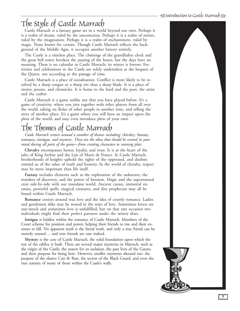ے<br>H Introduction to Castle Marrach

# <span id="page-6-0"></span>The Style of Castle Marrach

Castle Marrach is a fantasy game set in a world beyond our own. Perhaps it is a realm of dream, ruled by the unconscious. Perhaps it is a realm of stories, ruled by the imagination. Perhaps it is a realm of enchantment, ruled by magic. None knows for certain. Though Castle Marrach reflects the background of the Middle Ages, it occupies another history entirely.

The Castle is a timeless place. The chimings of the grandfather clock and the great bell tower betoken the passing of the hours, but the days have no meaning. There is no calendar in Castle Marrach; its winter is forever. Festivities and celebrations in the Castle are solely undertaken at the bequest of the Queen, not according to the passage of time.

Castle Marrach is a place of socialization. Conflict is more likely to be resolved by a sharp tongue or a sharp wit than a sharp blade. It is a place of stories, poems, and chronicles. It is home to the bard and the poet, the artist and the crafter.

Castle Marrach is a game unlike any that you have played before. It's a game of creativity, where you join together with other players from all over the world, taking on Roles of other people in another time, and telling the story of another place. It's a game where you will have an impact upon the plots of the world, and may even introduce plots of your own.

# The Themes of Castle Marrach

*Castle Marrach centers around a number of themes including:* chivalry*,* fantasy*,* romance*,* intrigue*, and* mystery*. These are the ideas that should be central in your mind during all parts of the game—from creating characters to running plots.*

**Chivalry** encompasses honor, loyalty, and trust. It is at the heart of the tales of King Arthur and the Lais of Marie de France. In Castle Marrach, brotherhoods of knights uphold the rights of the oppressed, and duelists remind us of the value of truth and honesty. In the world of chivalry, respect may be more important than life itself.

**Fantasy** includes elements such as the exploration of the unknown, the wonders of discovery, and the power of heroism. Magic and the supernatural exist side-by-side with our mundane world. Ancient curses, immortal enemies, powerful spells, magical creatures, and dire prophecies may all be found within Castle Marrach.

**Romance** centers around true love and the idea of courtly romance. Ladies and gentlemen alike may be wooed in the ways of love. Sometimes lovers are star-struck and sometimes love is unfulfilled, but on that rare occasion two individuals might find their perfect partners under the wintry skies.

**Intrigue** is hidden within the romance of Castle Marrach. Members of the Court scheme for position and power, helping their friends to rise and their enemies to fall. No apparent truth is the literal truth, and only a true friend can be entirely trusted ... and true friends are rare indeed.

**Mystery** is the core of Castle Marrach, the solid foundation upon which the rest of the edifice is built. There are several major mysteries in Marrach, such as the origin of the Castle, the reason for its isolation, the past lives of the Guests, and their purpose for being here. However, smaller mysteries abound too: the purpose of the elusive Cats & Rats, the secrets of the Black Guard, and even the true natures of many of those within the Castle's walls.

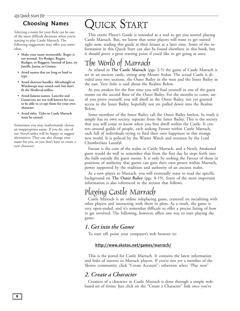# <span id="page-7-0"></span>-Quick Start

## Choosing Names

Selecting a name for your Role can be one of the most difficult decisions when you're starting to play Castle Marrach. The following suggestions may offer you some ideas.

- **Make your name memorable. Roger is too normal. Try Rodger, Rogier, Rudiger, or Ruggero. Instead of Jane, try Janelle, Janisa, or Gianna.**
- **Avoid names that are long or hard to type.**
- **Avoid chatroot handles. Silverknight or Windswept may sound cool, but don't fit the Medieval milleu.**
- **Avoid famous names. Lancelot and Guenevere are too well known for you to be able to co-opt them for your own character.**
- **Avoid titles. Titles in Castle Marrach must be earned.**

Sometimes you may inadvertantly choose an inappropriate name. If you do, one of our StoryGuides will be happy to suggest alternatives. They can also change your name for you, so you don't have to create a new character.

# QUICK START

This entire Player's Guide is intended as a tool to get you started playing Castle Marrach. But, we know that some players will want to get started right now, reading this guide at their leisure at a later time. Some of the information in this Quick Start can also be found elsewhere in this book, but it should prove a great starting point if you'd like to get going at once.

## The World of Marrach

As related in **[The Castle Marrach](#page-3-0)** (pgs. 2-5) the game of Castle Marrach is set in an ancient castle, sitting atop Mount Ardan. The actual Castle is divided into two sections, the Outer Bailey in the west and the Inner Bailey in the east. Very little is said about the Realms Below.

As you awaken for the first time you will find yourself in one of the guest rooms on the second floor of the Outer Bailey. For the months to come, until you prove yourself, you will dwell in the Outer Bailey, not yet granted access to the Inner Bailey, hopefully not yet pulled down into the Realms Below.

Some members of the Inner Bailey call the Outer Bailey lawless, In truth it simply has its own society, separate from the Inner Bailey. This is the society that you will come to know when you first dwell within the Castle. It centers around guilds of people, each seeking Favour within Castle Marrach, each full of individuals trying to find their own happiness in this strange new world. It is policed by the Winter Watch and overseen by the Lord Chamberlain Launfal.

Favour is the coin of the realm in Castle Marrach, and a Newly Awakened guest would do well to remember that from the first day he steps forth into the halls outside the guest rooms. It is only by seeking the Favour of those in positions of authority that guests can gain their own power within Marrach, power supported by the tradition and authority of an ancient realm.

As a new player to Marrach, you will eventually want to read the specific background on **[The Outer Bailey](#page-9-0)** (pgs. 8-19). Some of the most important information is also referenced in the section that follows.

## Playing Castle Marrach

Castle Marrach is an online roleplaying game, centered on socializing with other players and interacting with them in plots. As a result, the game is very open-ended, and it's somewhat difficult to offer a precise listing of how to get involved. The following, however, offers one way to start playing the game.

## *1. Get into the Game*

To start off, point your computer's web browser to:

### **<http://www.skotos.net/games/marrach/>**

This is the portal for Castle Marrach. It contains the latest information and links of interest to Marrach players. If you're not yet a member of the Skotos community, click "Create Account"; otherwise select "Play now"

## *2. Create a Character*

Creation of a character in Castle Marrach is done through a simple webbased set of forms. Just click on the "Create a Character" link once you've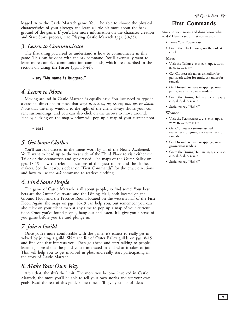logged in to the Castle Marrach game. You'll be able to choose the physical characteristics of your alterego and learn a little bit more about the background of the game. If you'd like more information on the character creation and Start Story process, read **[Playing Castle Marrach](#page-31-0)** (pgs. 30-35).

### *3. Learn to Communicate*

The first thing you need to understand is how to communicate in this game. This can be done with the *say* command. You'll eventually want to learn more complex communication commands, which are described in the section on **[Using the Parse](#page-37-0)r** (pgs. 36-44).

> **say "My name is Ruggero."**

### *4. Learn to Move*

Moving around in Castle Marrach is equally easy. You just need to type in a cardinal directions to move that way: *n*, *e*, *s*, *w*, *ne*, *se*, *sw*, *nw*, *up*, or *down*. Note that the map window to the right of the client always shows your current surroundings, and you can also click on the arrows to move around. Finally, clicking on the map window will pop up a map of your current floor.

> **east**

### *5. Get Some Clothes*

You'll start off dressed in the linens worn by all of the Newly Awakened. You'll want to head up to the west side of the Third Floor to visit either the Tailor or the Seamastress and get dressed. Tha [maps of the Outer Bailey](#page-19-0) on pgs. 18-19 show the relevant locations of the guest rooms and the clothes makers. See the nearby sidebar on "First Commands" for the exact directions and how to use the *ask* command to retrieve clothing.

## *6. Find Some People*

The game of Castle Marrach is all about people, so find some! Your best bets are the Outer Courtyard and the Dining Hall, both located on the Ground Floor and the Practice Room, located on the western half of the First Floor. Again, [the maps](#page-19-0) on pgs. 18-19 can help you, but remember you can also click on your client map at any time to pop up a map of your current floor. Once you've found people, hang out and listen. It'll give you a sense of you game before you try and plunge in.

## *7. Join a Guild*

Once you're more comfortable with the game, it's easiest to really get involved by joining a guild. Skim [the list of Outer Bailey guilds](#page-9-0) on pgs. 8-15 and find one that interests you. Then go ahead and start talking to people, learning more about the guild you're interested in and what it takes to join. This will help you to get involved in plots and really start participating in the story of Castle Marrach.

## *8. Make Your Own Way*

After that, the sky's the limit. The more you become involved in Castle Marrach, the more you'll be able to tell your own stories and set your own goals. Read the rest of this guide some time. It'll give you lots of ideas!

## First Commands

Stuck in your room and don't know what to do? Here's a set of first commands.

- **Leave Your Room: east**
- **Go to the Clock: north, north, look at clock**

#### **Men:**

- **Visit the Tailor: e, e, s, e, n, up, s, w, w, n, w, w, w, s, nw**
- **Get Clothes: ask tailor, ask tailor for pants, ask tailor for tunic, ask tailor for sandals**
- **Get Dressed: remove wrappings, wear pants, wear tunic, wear sandals**
- **Go to the Dining Hall: se, n, e, e, e, s, e, e, n, d, d, d, e, s, w, n**
- **Socialize: say "Hello!"**

#### **Women:**

- **Visit the Seamstress: e, e, s, e, n, up, s, w, w, n, w, w, w, s, sw**
- **Get Clothes: ask seamstress, ask seamstress for gown, ask seamstress for sandals**
- **Get Dressed: remove wrappings, wear gown, wear sandals**
- **Go to the Dining Hall: ne, n, e, e, e, s, e, e, n, d, d, d, e, s, w, n**
- **Socialize: say "Hello!"**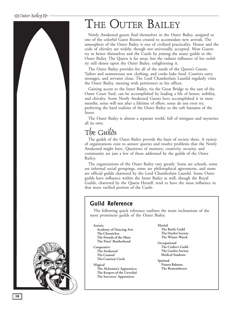# <span id="page-9-0"></span>THE OUTER BAILEY

Newly Awakened guests find themselves in the Outer Bailey, assigned to one of the colorful Guest Rooms created to accomodate new arrivals. The atmosphere of the Outer Bailey is one of civilized practicality. Honor and the code of chivalry are widely, though not universally, accepted. Most Guests try to better themselves and the Castle by joining the many guilds in the Outer Bailey. The Queen is far away, but the radiant influence of her nobility still shines upon the Outer Bailey, enlightening it.

The Outer Bailey provides for all of the needs of the Queen's Guests. Tailors and seamstresses sew clothing, and cooks bake food. Couriers carry messages, and servants clean. The Lord Chamberlain Launfal regularly visits the Outer Bailey, meeting with petitioners in his offices.

Gaining access to the Inner Bailey, via the Great Bridge to the east of the Outer Court Yard, can be accomplished by leading a life of honor, nobility, and chivalry. Some Newly Awakened Guests have accomplished it in mere months; some will not after a lifetime of effort; some do not even try, preferring the hard realities of the Outer Bailey to the soft fantasies of the Inner.

The Outer Bailey is almost a separate world, full of intrigues and mysteries all its own.

## The Guilds

The guilds of the Outer Bailey provide the basis of society there. A variety of organizations exist to answer queries and resolve problems that the Newly Awakened might have. Questions of memory, creativity, security, and community are just a few of those addressed by the guilds of the Outer Bailey.

The organizations of the Outer Bailey vary greatly. Some are schools, some are informal social groupings, some are philosophical agreements, and some are official guilds chartered by the Lord Chamberlain Launfal. Some Outer guilds have influence within the Inner Bailey as well, though the Royal Guilds, chartered by the Queen Herself, tend to have the most influence in that more rarified portion of the Castle.

## Guild Reference

The following quick reference outlines the main inclinations of the most prominent guilds of the Outer Bailey.

**[Academy of Dancing Arts](#page-10-0) [The Chroniclers](#page-11-0) [The Friends of the Muse](#page-13-0) [The Poets' Brotherhood](#page-15-0) Cooperative [The Awakened](#page-10-0) [The Counsel](#page-11-0) [The Courtesy Circle](#page-12-0) Magical**

**Artistic**

**[The Alchemist's Apprentices](#page-10-0) [The Keepers of the Unveiled](#page-14-0) [The Sorceress' Apprentices](#page-15-0)**

#### **Martial**

**[The Battle Guild](#page-10-0) [The Duelist Society](#page-12-0) [The Winter Watch](#page-16-0)**

**Occupational [The Crafter's Guild](#page-12-0) [The Garden Society](#page-13-0) [Medical Students](#page-14-0)** 

**Spiritual [Natura Balanus](#page-14-0) [The Rememberers](#page-14-0)**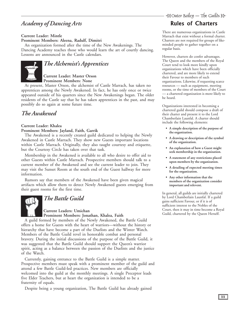## <span id="page-10-0"></span>*Academy of Dancing Arts*

#### **Current Leader: Mintle**

**Prominent Members: Aleena, Radulf, Dimitri**

An organization formed after the time of the New Awakenings. The Dancing Academy teaches those who would learn the art of courtly dancing. Lessons are announced in the Castle calendars.



## *The Alchemist's Apprentices*

#### **Current Leader: Master Orson Prominent Members: None**

At present, Master Orson, the alchemist of Castle Marrach, has taken no apprentices among the Newly Awakened. In fact, he has only once or twice appeared outside of his quarters since the New Awakenings began. The older residents of the Castle say that he has taken apprentices in the past, and may possibly do so again at some future time.

## *The Awakened*

#### **Current Leader: Khalea**

#### **Prominent Members: Jayland, Faith, Garrik**

The Awakened is a recently created guild dedicated to helping the Newly Awakened in Castle Marrach. They show new Guests important locations within Castle Marrach. Originally, they also taught courtesy and etiquette, but the Courtesy Circle has taken over that task.

Membership in the Awakened is available to all who desire to offer aid to other Guests within Castle Marrach. Prospective members should talk to a current member of the Awakened and see the current leader to join. They may visit the Sunset Room at the south end of the Guest hallway for more information.

Rumors say that members of the Awakened have been given magical artifacts which allow them to detect Newly Awakened guests emerging from their guest rooms for the first time.



## *The Battle Guild*

#### **Current Leaders: Umichan Prominent Members: Jonathan, Khalea, Faith**

A guild formed by members of the Newly Awakened, the Battle Guild offers a home for Guests with the heart of warriors—without the history or hierarchy that have become a part of the Duelists and the Winter Watch. Members of the Battle Guild revel in honorable combat and personal bravery. During the initial discussions of the purpose of the Battle Guild, it was suggested that the Battle Guild should support the Queen's warrior spirit, acting as a balance between the passion of the Duelists and the justice of the Watch.

Currently, gaining entrance to the Battle Guild is a simple matter. Prospective members must speak with a prominent member of the guild and attend a few Battle Guild-led practices. New members are officially welcomed into the guild at the monthly meetings. A single Preceptor leads five Elder Teachers, but at heart the organization is intended to be a fraternity of equals.

Despite being a young organization, The Battle Guild has already gained

# ÷ Outer Bailey — The Guilos g

## **Rules of Charters**

There are numerous organizations in Castle Marrach that exist without a formal charter. Charters are not required for groups of likeminded people to gather together on a regular basis.

However, charters do confer advantages. The Queen and the members of the Royal Court tend to look more kindly upon organizations which have been officially chartered, and are more likely to extend their Favour to members of such organizations. Likewise, if requesting scarce resources — such as equipment, meeting rooms, or the time of members of the Court — a chartered organization is more likely to be heard.

Organizations interested in becoming a chartered guild should compose a draft of their charter and present it to the Lord Chamberlain Launfal. A charter should include the following elements:

- **A simple description of the purpose of the organization.**
- **A drawing or description of the symbol of the organization.**
- **An explanation of how a Guest might seek membership in the organization.**
- **A statement of any restrictions placed upon members by the organization.**
- **A detailing of expected meeting times for the organization.**
- **Any other information that the members of the organization consider important and relevent.**

In general, all guilds are initially chartered by Lord Chamberlain Launfal. If a guild gains sufficient Favour, or if it is of sufficient interest to the Nobles of the Court, then it may in time become a Royal Guild, chartered by the Queen Herself.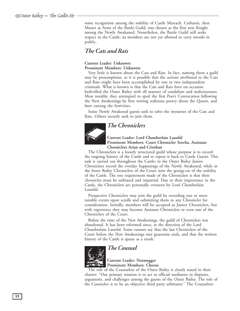<span id="page-11-0"></span>some recognition among the nobility of Castle Marrach. Catharsis, then Master at Arms of the Battle Guild, was chosen as the first new Knight among the Newly Awakaned. Nonetheless, the Battle Guild still seeks respect in the Castle; its members are not yet allowed to carry swords in public.

## *The Cats and Rats*

#### **Current Leader: Unknown Prominent Members: Unknown**

Very little is known about the Cats and Rats. In fact, naming them a guild may be presumptious, as it is possible that the actions attributed to the Cats and Rats might have been accomplished by one or two indepenedent criminals. What is known is that the Cats and Rats have on occasion bedevilled the Outer Bailey with all manner of vandalism and maliciousness. Most notably, they attempted to spoil the first Poet's Convocation following the New Awakenings by first writing seditious poetry about the Queen, and later cursing the festivities.

Some Newly Awakened guests seek to solve the mysteries of the Cats and Rats. Others secretly seek to join them.

# *The Chroniclers*



#### **Current Leader: Lord Chamberlain Launfal Prominent Members: Court Chronicler Sorcha, Assistant Chroniclers Arian and Criothan**

The Chroniclers is a loosely structured guild whose purpose is to record the ongoing history of the Castle and to report it back to Castle Guests. This task is carried out throughout the Castle; in the Outer Bailey Junior Chroniclers record the everday happenings of the Newly Awakened, while in the Inner Bailey Chroniclers of the Court note the goings-on of the nobility of the Castle. The one requirement made of the Chroniclers is that their chronicles must be unbiased and impartial. Due to their importance in the Castle, the Chroniclers are personally overseen by Lord Chamberlain Launfal.

Prospective Chroniclers may join the guild by recording one or more notable events upon scrolls and submitting them to any Chronicler for consideration. Initially, members will be accepted as Junior Chroniclers, but with experience they may become Assistant Chroniclers or even one of the Chroniclers of the Court.

Before the time of the New Awakenings, the guild of Chroniclers was abandoned. It has been reformed since, at the direction of the Lord Chamberlain Launfal. Some rumors say that the last Chroniclers of the Court before the New Awakenings met gruesome ends, and that the written history of the Castle is sparse as a result.



## *The Counsel*

**Current Leader: Nutmegger Prominent Members: Chorus**

The role of the Counselors of the Outer Bailey is clearly stated in their charter: "Our primary mission is to act as official mediators in disputes, arguments, and challenges among the guests of the Outer Bailey. The role of the Counselor is to be an objective third party arbitrator." The Counselors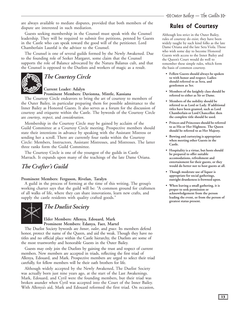<span id="page-12-0"></span>are always available to mediate disputes, provided that both members of the dispute are interested in such mediation.

Guests seeking membership in the Counsel must speak with the Counsel leadership. They will be required to submit five petitions, penned by Guests in the Castle who can speak toward the good will of the petitioner. Lord Chamberlain Launfal is the advisor to the Counsel.

The Counsel is one of several guilds formed by the Newly Awakened. Due to the founding role of Seeker Margaret, some claim that the Counsel supports the role of Balance advocated by the Natura Balanus cult, and that the Counsel is opposed to the Duelists and workers of magic as a result.



## *The Courtesy Circle*

**Current Leader: Adalyn Prominent Members: Davionna, Mintle, Kassiana**

The Courtesy Circle endeavors to bring the art of courtesy to members of the Outer Bailey, in particular preparing them for possible admittance to the Inner Bailey as Honored Guests. It also serves as a forum for the discussion of courtesy and etiquette within the Castle. The bywords of the Courtesy Circle are *courtesy*, *respect*, and *consideration*.

Membership in the Courtesy Circle may be gained by acclaim of the Guild Committee at a Courtesy Circle meeting. Prospective members should state their intentions in advance by speaking with the Assistant Mistress or sending her a scroll. There are currently four ranks within the Courtesy Circle: Members, Instructors, Assistant Mistresses, and Mistresses. The latter three ranks form the Guild Committee.

The Courtesy Circle is one of the youngest of the guilds in Castle Marrach. It expands upon many of the teachings of the late Dame Oriana.

## *The Crafter's Guild*

#### **Prominent Members: Ferguson, Rivelan, Taralyn**

A guild in the process of forming at the time of this writing. The group's working charter says that the guild will be: "A common ground for craftsmen of all walks of life, where they can share innovations, learn new crafts, and supply the castle residents with quality crafted goods."



## *The Duelist Society*

#### **Elder Members: Allenya, Edouard, Mark Prominent Members: Edanya, Faer, Martel**

The Duelist Society bywords are *honor*, *valor*, and *grace*. Its members defend honor, protect the name of the Queen, and aid the weak. Though they have no titles and no official place within the Castle hierarchy, the Duelists are some of the most trustworthy and honorable Guests in the Outer Bailey.

Guests may only join the Duelists by gaining the trust and respect of current members. New members are accepted in triads, reflecting the first triad of Allenya, Edouard, and Mark. Prospective members are urged to select their triad carefully, for fellow members will be their oath brothers for life.

Although widely accepted by the Newly Awakened, The Duelist Society was actually born just nine years ago, at the start of the Last Awakenings. Mark, Edouard, and Cyril were the founding members, but their triad was broken asunder when Cyril was accepted into the Court of the Inner Bailey. With Allenya's aid, Mark and Edouard reformed the first triad. On occasion,

## Rules of Courtesy

Although less strict in the Outer Bailey, rules of courtesy do exist; they have been widely taught by such kind folks as the late Dame Oriana and the late Sera Viola. Those who wish some day to become Honored Guests with access to the Inner Bailey and the Queen's Court would do well to remember these simple rules, which form the basis of common courtesy.

- **Fellow Guests should always be spoken to with honor and respect. Ladies should referred to as Sera, and gentlemen as Ser.**
- **Members of the knightly class should be referred to either as Sir or Dame.**
- **Members of the nobility should be referred to as Lord or Lady. If additional titles have been granted, such as Lord Chamberlain or Lord Chancellor, then the complete title should be used.**
- **Princes and Princesses should be referred to as His or Her Highness. The Queen should be referred to as Her Majesty.**
- **Bowing and curtseying is appropriate when meeting other Guests in the Castle.**
- **Hospitality is a virtue, but hosts should be prepared to offer suitable accomodations, refreshment and entertainment for their guests, or they would do better not to host guests at all.**
- **Though moderate use of liquor is appropriate for social gatherings, outright drunkeness is frowned upon.**
- **When leaving a small gathering, it is proper to seek permission or acknowledgement from the person leading the event, or from the person of greatest status present.**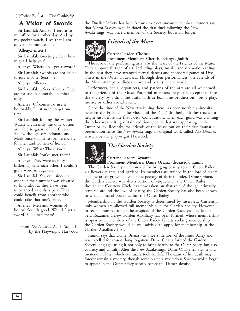# <span id="page-13-0"></span>÷a Outer Bailey — The Guilos est.<br>- The Guilos

## A Vision of Swords

**Sir Launfal:** And so, I return to my office for another day. And by my pocket watch, I see that I am only a few minutes late.

#### **[Allenya enters.]**

**Sir Launfal:** Greetings, Sera, how might I help you?

**Allenya:** Where do I get a sword? **Sir Launfal:** Swords are not issued to just anyone, Sera ... ?

**Allenya:** Allenya.

**Sir Launfal:** ...Sera Allenya. They are for use in honorable combat only.

**Allenya:** Of course I'd use it honorably, I just need to get one first.

**Sir Launfal:** Joining the Winter Watch is currently the only option available to guests of the Outer Bailey, though sers Edouard and Mark once sought to form a society for men and women of honor.

**Allenya:** What? Those two?

**Sir Launfal:** You've met them?

**Allenya:** They were so busy bickering with each other, I couldn't get a word in edgewise!

**Sir Launfal:** Yes, ever since the other of their number was elevated to knighthood, they have been unbalanced as only a pair. They could benefit from another who could take that one's place.

**Allenya:** Men and women of honor? Sounds good. Would I get a sword if I joined them?

—From *The Duelists*, Act I, Scene II by the Playwright Harwood the Duelist Society has been known to eject uncouth members; rumors say that Victor Savory, who initiated the first duel following the New Awakenings, was once a member of the Society, but is no longer.



*Friends of the Muse*

**Current Leader: Chorus Prominent Members: Cherish, Edanya, Judith**

The love of the performing arts is at the heart of the Friends of the Muse. They support all type of art, including plays, music, and dramatic readings. In the past they have arranged formal dances and sponsored games of Live Chess in the Outer Courtyard. Through their performances, the Friends of the Muse attempt to discover love and beauty in the world.

Performers, social organizers, and patrons of the arts are all welcomed to the Friends of the Muse. Potential members may gain acceptance into the society by aiding the guild with at least one production—be it play, music, or other social event.

Since the time of the New Awakening there has been notable animosity between the Friends of the Muse and the Poets' Brotherhood; this reached a height just before the first Poets' Convocation, when each guild was claiming the other was writing certain seditious poetry that was appearing in the Outer Bailey. Recently, the Friends of the Muse put on their first dramatic presentation since the New Awakening, an original work called *The Duelists*, written by the playwright Harwood.



## *The Garden Society*

#### **Current Leader: Roxanne**

**Prominent Members: Dame Oriana (deceased), Tamm**

The Garden Society is renowned for bringing beauty to the Outer Bailey via flowers, plants, and gardens. Its members are trained in the lore of plants and the art of growing. Under the peerage of their founder, Dame Oriana, the Garden Society was also a bastion of etiquette in the Outer Bailey, though the Courtesy Circle has now taken on that role. Although primarily centered around the love of beauty, the Garden Society has also been known to wield political power within the Outer Bailey.

Membership in the Garden Society is determined by interview. Currently, only women are allowed full membership in the Garden Society. However, in recent months, under the auspices of the Garden Society's new leader, Sera Roxanne, a new Garden Auxilliary has been formed, whose membership is open to all members of the Outer Bailey. Guests seeking membership in the Garden Society would be well advised to apply for membership in the Garden Auxilliary first.

Rumor says that Dame Oriana was once a member of the Inner Bailey and was expelled for reasons long forgotten. Dame Oriana formed the Garden Society long ago, using it not only to bring beauty to the Outer Bailey, but also courtesy and chivalry. After the New Awakenings, Dame Oriana fell victim to a mysterious illness which eventually took her life. The cause of her death may forever remain a mystery, though some blame a mysterious Shadow which began to appear in the Outer Bailey shortly before the Dame's demise.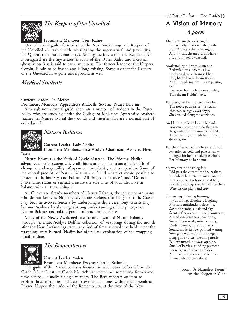## *The Keepers of the Unveiled*

### **Prominent Members: Faer, Kaine**

<span id="page-14-0"></span>One of several guilds formed since the New Awakenings, the Keepers of the Unveiled are tasked with investigating the supernatural and protecting the Queen from those same forces. Among the forces that the Keepers have investigated are the mysterious Shadow of the Outer Bailey and a certain ghost whose kiss is said to cause muteness. The former leader of the Keepers, Corbin, is said to be insane and is long missing. Some say that the Keepers of the Unveiled have gone underground as well.

## *Medical Students*

### **Current Leader: Dr. Meilyr**

**Prominent Members: Apprentices Anabeth, Severin, Nurse Ecremis**

Although not a formal guild, there are a number of students in the Outer Bailey who are studying under the College of Medicine. Apprentice Anabeth teaches her Nurses to heal the wounds and miseries that are a normal part of everyday life.



## *Natura Balanus*

**Current Leader: Lady Nadira Prominent Members: First Acolyte Charmiam, Acolytes Eben,**

#### **Isaria**

Natura Balanus is the Faith of Castle Marrach. The Priestess Nadira advocates a belief system where all things are kept in balance. It is faith of change and changeability, of openness, mutability, and compassion. Some of the central precepts of Natura Balanus are: "Find whatever means possible to protect truth, honesty, and balance. All things in balance." and "Do not make fame, status or sensual pleasure the sole aims of your life. Live in balance with all these things."

All Guests are already members of Natura Balanus, though there are many who do not know it. Nonetheless, all are Seekers, searching for truth. Guests may become avowed Seekers by undergoing a short ceremony. Guests may become Acolytes by showing a strong understanding of the precepts of Natura Balanus and taking part in a more intimate rite.

Many of the Newly Awakened first became aware of Natura Balanus through the mute Acolyte Dolfin's collection of wrappings during the month after the New Awakenings. After a period of time, a ritual was held where the wrappings were burned. Nadira has offered no explanation of the wrapping ritual to date.



### *The Rememberers*

**Current Leader: Vaden Prominent Members: Evayne, Garrik, Radorcha**

The guild of the Rememberers is focused on what came before life in the Castle. Most Guests in Castle Marrach can remember something from some time before ... usually a single memory. The Rememberers attempt to explain those memories and also to awaken new ones within their members. Evayne Harper, the leader of the Rememberers at the time of the New

## A Vision of Memory *A poem*

- I had a dream the other night. But actually, that's not the truth. I didn't dream the other night, And, in this dream-I-didn't-have, I found myself awakened.
- Awakened by a dream is strange, Bedazzled by a dream is joy, Enchanted by a dream is bliss, Enlightened by a dream is rare, And, though my dreams are passing fair, I've never had such dreams as this, This dream I didn't have.
- For there, awake, I walked with her, The noble goddess of this realm. Her stature regal, eyes abyss, She strolled along the corridors.
- And I, who followed close behind, Was much content to do the same, To go where'er my mistress willed, Through fire, through hell, through death again.
- For then she owned me heart and soul, My mistress cold and pale as snow. I longed for her to make me whole, For Memory be her name.
- So, we, a pair of passing fair, Did pass the dreamtime hours there, But where be there no voice can tell. It was at once both sweet and hell, For all the things she showed me there Were visions plain and true.
- Sunsets regal, fleeing burning, Joy at killing, daughters laughing, Prostrate multitudes before me, Scribing symbols, oak and sky. Scents of new earth, sullied courtyard, Armed assailants soon enclosing, Soaked by sea-salt, miner's weary, Verdict coming, fire and friend. Sound made festive, pointed waiting, Sons grown taller, crimson fingers, Long-gone voices, plucking music, Fall exhausted, nervous op'ning. Smell of berries, grinding pigment, Ebon sky with silver twinkles: All these were then set before me, By my lady mistress there.

—From "A Nameless Poem" by the Forgetter Yuen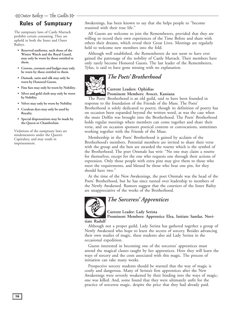## <span id="page-15-0"></span>Rules of Sumptuary

The sumptuary laws of Castle Marrach prohibit certain costuming. They are upheld in both the Inner and Outer Baileys.

- **Reserved uniforms, such those of the Winter Watch and the Royal Guard, may only be worn by those entitled to them.**
- **Crowns, coronets and badges may only be worn by those entitled to them.**
- **Damask, satin and silk may only be worn by Honored Guests.**
- **Fine furs may only be worn by Nobility.**
- **Silver and gold cloth may only be worn by Nobility.**
- **Velvet may only be worn by Nobility.**
- **Cerulean dyes may only be used by Royalty.**
- **Special dispensations may be made by the Queen or Chamberlain.**

Violations of the sumptuary laws are misdemeanors under the Queen's Capitulary, and may result in imprisonment.

Awakenings, has been known to say that she helps people to "become reunited with their true life."

All Guests are welcome to join the Rememberers, provided that they are willing to record their own experiences of the Time Before and share with others their dreams, which reveal their Great Lives. Meetings are regularly held to welcome new members into the fold.

Although well established, the Rememberers do not seem to have ever gained the patronage of the nobility of Castle Marrach. Their members have only rarely become Honored Guests. The last leader of the Rememberers, Tylus, is said to have gone missing with no explanation.

## *The Poets' Brotherhood*



## **Current Leaders: Ophidias**

**Prominent Members: Avocet, Kassiana**

The Poets' Brotherhood is an old guild, said to have been founded in response to the foundation of the Friends of the Muse. The Poets' Brotherhood is solely dedicated to poetry, though its definition of poetry has on occasion been expanded beyond the written word, as was the case when the mute Dolfin was brought into the Brotherhood. The Poets' Brotherhood holds regular meetings where members can come together and share their verse, and on occasion sponsors poetical contests or convocations, sometimes working together with the Friends of the Muse.

Membership in the Poets' Brotherhood is gained by acclaim of the Brotherhood's members. Potential members are invited to share their verse with the group and the best are awarded the rosette which is the symbol of the Brotherhood. The poet Ommale has writ: "No one may claim a rosette for themselves, except for the one who requests one through their actions of expression. Only those people with extra pins may give them to those who meet the requirements, and blessed be those who bear one pin, for they should have two."

At the time of the New Awakenings, the poet Ommale was the head of the Poets' Brotherhood, but he has since turned over leadership to members of the Newly Awakened. Rumors suggest that the courtiers of the Inner Bailey are unappreciative of the works of the Brotherhood.



## *The Sorceress' Apprentices*

**Current Leader: Lady Serista**

**Prominent Members: Apprentice Elea, Initiate Santlar, Novi-**

**tiate Radulf**

Although not a proper guild, Lady Serista has gathered together a group of Newly Awakened who hope to learn the secrets of sorcery. Besides advancing their own studies of magic, these students also aid Lady Serista in the occasional expedition.

Guests interested in becoming one of the sorceress' apprentices must attend the magical classes taught by her apprentices. Here they will learn the ways of sorcery and the costs associated with this magic. The process of initiation can take many weeks.

Prospective sorcery students should be warned that the way of magic is costly and dangerous. Many of Serista's first apprentices after the New Awakenings were severely weakened by their binding into the ways of magic; one was killed. And, some found that they were ultimately unfit for the practice of sorceress magic, despite the price that they had already paid.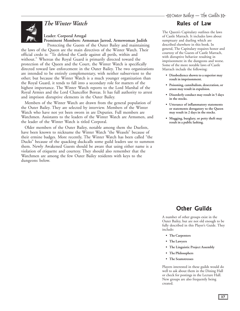## *The Winter Watch*

### **Leader: Corporal Artegal Prominent Members: Armsman Jarrod, Armswoman Judith**

<span id="page-16-0"></span>Protecting the Guests of the Outer Bailey and maintaining the laws of the Queen are the main directives of the Winter Watch. Their official credo is: "To defend the Castle against all perils, within and without." Whereas the Royal Guard is primarily directed toward the protection of the Queen and the Court, the Winter Watch is specifically directed toward law enforcement in the Outer Bailey. The two organizations are intended to be entirely complementary, with neither subservient to the other; but because the Winter Watch is a much younger organization than the Royal Guard, it tends to fall into a secondary role for matters of the highest importance. The Winter Watch reports to the Lord Marshal of the Royal Armies and the Lord Chancellor Boreas. It has full authority to arrest and imprison disruptive elements in the Outer Bailey.

Members of the Winter Watch are drawn from the general population of the Outer Bailey. They are selected by interview. Members of the Winter Watch who have not yet been sworn in are Deputies. Full members are Watchmen. Assistants to the leaders of the Winter Watch are Armsmen, and the leader of the Winter Watch is titled Corporal.

Older members of the Outer Bailey, notable among them the Duelists, have been known to nickname the Winter Watch "the Weasels" because of their ermine badges. More recently, The Winter Watch has been called "the Ducks" because of the quacking duckcalls some guild leaders use to summon them. Newly Awakened Guests should be aware that using either name is a violation of etiquette and courtesy. They should also remember that the Watchmen are among the few Outer Bailey residents with keys to the dungeons below.

## Rules of Law

The Queen's Capitulary outlines the laws of Castle Marrach. It includes laws about sumptuary and dueling which are described elsewhere in this book. In general, The Capitulary requires honor and courtesy of the Guests of Castle Marrach, with disruptive behavior resulting in imprisonment in the dungeons and worse. Some of the more notable laws of Castle Marrach include the following:

- **Disobedience shown to a superior may result in imprisonment.**
- **Poisoning, cannibalism, desecration, or arson may result in expulsion.**
- **Disorderly conduct may result in 5 days in the stocks.**
- **Utterance of inflammatory statements or statements derogatory to the Queen may result in 2 days in the stocks.**
- **Mugging, burglary, or petty theft may result in a public lashing.**

## Other Guilds

A number of other groups exist in the Outer Bailey, but are not old enough to be fully described in this Player's Guide. They include:

- **The Carpenters**
- **The Lawyers**
- **The Linguistic Project Assembly**
- **The Philosophers**
- **The Seamstresses**

Players interested in these guilds would do well to ask about them in the Dining Hall or check for postings in the Lecture Hall. New groups are also frequently being created.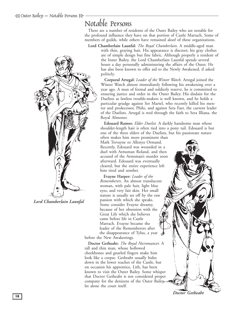<span id="page-17-0"></span>

*Lord Chamberlain Launfal*

## Notable Persons

There are a number of residents of the Outer Bailey who are notable for the profound influence they have on that portion of Castle Marrach. Some of members of guilds, while others have remained aloof of these organizations.

**Lord Chamberlain Launfal:** *The Royal Chamberlain.* A middle-aged man

with thin, graying hair. His appearance is discreet; his gray clothes are of simple design but fine fabric. Although properly a resident of the Inner Bailey, the Lord Chamberlain Launfal spends several hours a day personally administering the affairs of the Outer. He has also been known to offer aid to the Newly Awakened, if asked politely.

**Corporal Artegal:** *Leader of the Winter Watch*. Artegal joined the Winter Watch almost immediately following his awakening over a year ago. A man of formal and soldierly reserve, he is committed to ensuring justice and order in the Outer Bailey. His disdain for the Duelists as lawless trouble-makers is well known, and he holds a particular grudge against Ser Martel, who recently killed his mentor and predecessor, Philo, and against Sera Faer, the current leader of the Duelists. Artegal is wed through the faith to Sera Illiana, the Royal Almoner.

**Edouard Ramos:** *Elder Duelist.* A darkly handsome man whose shoulder-length hair is often tied into a pony tail. Edouard is but one of the three elders of the Duelists, but his passionate nature

often makes him more prominent than Mark Trevayne or Allenya Ormand. Recently, Edouard was wounded in a duel with Armsman Roland, and then accused of the Armsman's murder soon afterward. Edouard was eventually cleared, but the entire experience left him tired and somber.

**Evayne Harper:** *Leader of the Rememberers.* An almost translucent woman, with pale hair, light blue eyes, and very fair skin. Her small stature is usually set off by the raw passion with which she speaks. Some consider Evayne dreamy, because of her obsession with the Great Life which she believes came before life in Castle Marrach. Evayne became the leader of the Rememberers after the disappearance of Tylus, a year before the New Awakenings.

**Doctor Getheaht:** *The Royal Necromancer.* A tall and thin man, whose hollowed cheekbones and gnarled fingers make him look like a corpse. Getheaht usually hides down in the lower reaches of the Castle, but on occasion his apprentice, Lith, has been known to visit the Outer Bailey. Some whisper that Doctor Getheaht is not considered proper company for the denizens of the Outer Bailey, let alone the court itself.



*Doctor Getheaht*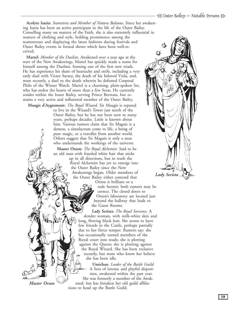**Acolyte Isaria:** *Seamstress and Member of Natura Balanus*. Since her awakening Isaria has been an active participant in the life of the Outer Bailey. Conselling many on matters of the Faith, she is also extremely influential in matters of clothing and style, holding prominence among the seamstresses and displaying the latest fashions during festivals and Outer Bailey events in formal shows which have been well-received.

**Martel:** *Member of the Duelists.* Awakened over a year ago at the start of the New Awakenings, Martel has quickly made a name for himself among the Duelists, forming one of the first new triads. He has experience his share of heartache and strife, including a very early duel with Victor Savary, the death of his beloved Viola, and, most recently, a duel to the death wherein he defeated Corporal Philo of the Winter Watch. Martel is a charming, plain-spoken Ser, who has stolen the hearts of more than a few Seras. He currently resides within the Inner Bailey, serving Prince Bertram, but remains a very active and influential member of the Outer Bailey.

**Maugis d'Aygremont:** *The Royal Wizard.* Sir Maugis is reputed to live in the Wizard's Tower just north of the Outer Bailey, but he has not been seen in many years, perhaps decades. Little is known about him. Various rumors claim that Sir Maguis is a demon, a simulacrum come to life, a being of pure magic, or a traveller from another world. Others suggest that Sir Maguis is only a man who understands the workings of the universe.

> **Master Orson:** *The Royal Alchemist.* Said to be an old man with frazzled white hair that sticks up in all directions, but in truth the Royal Alchemist has yet to emerge into the Outer Bailey since the New Awakenings began. Older members of the Outer Bailey either contend that

Orson is brilliant or a

rude hermit; both rumors may be correct. The closed doors to Orson's laboratory are located just beyond the hallway that leads to the Guest Rooms.

**Lady Serista:** *The Royal Sorceress.* A slender woman, with milk-white skin and long, flowing black hair. She seems to have few friends in the Castle, perhaps partially due to her fierce temper. Rumors say: she has occasionally turned members of the Royal court into toads; she is plotting against the Queen; she is plotting against the Royal Wizard. She has been reclusive recently, but none who know her believe she has been idle.

**Umichan**: *Leader of the Battle Guild.* A Sera of intense and playful disposition, awakened within the past year. She was formerly a member of the Awakened, but has forsaken her old guild affiliations to head up the Battle Guild.



*Master Orson*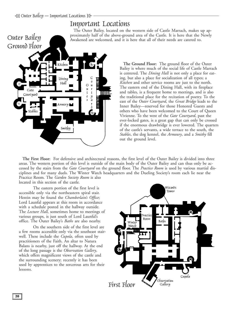## Important Locations

The Outer Bailey, located on the western side of Castle Marrach, makes up approximately half of the above-ground area of the Castle. It is here that the Newly Awakened are welcomed, and it is here that all of their needs are catered to.

<span id="page-19-0"></span>

**The Ground Floor:** The ground floor of the Outer Bailey is where much of the social life of Castle Marrach is centered. The *Dining Hall* is not only a place for eating, but also a place for socialization of all types; a *Kitchen* and other service rooms are just to the north. The eastern end of the Dining Hall, with its fireplace and tables, is a frequent home to meetings, and is also the traditional place for the recitation of poetry. To the east of the *Outer Courtyard*, the *Great Bridge* leads to the Inner Bailey—reserved for those Honored Guests and others who have been welcomed to the Court of Queen Vivienne. To the west of the *Gate Courtyard*, past the ever-locked gates, is a great gap that can only be crossed if the enormous drawbridge is ever lowered. The quarters of the castle's servants, a wide terrace to the south, the *Stables*, the dog kennel, the *Armoury*, and a *Smithy* fill out the ground level.

**The First Floor:** For defensive and architectural reasons, the first level of the Outer Bailey is divided into three areas. The western portion of this level is outside of the main body of the Outer Bailey and can thus only be accessed by the stairs from the *Gate Courtyard* on the ground floor. The *Practice Room* is used by various martial disciplines and for many duels. The Winter Watch headquarters and the Dueling Society's room each lie near the Practice Room*.* The *Garden Society Room* is also located in this section of the castle.

The eastern portion of the first level is accessible only via the northeastern spiral stair. Herein may be found the *Chamberlain's Office*; Lord Launfal appears at this room in accordance with a schedule posted in the hallway outside. The *Lecture Hall*, sometimes home to meetings of various groups, is just south of Lord Launfal's office. The Outer Bailey's *Baths* are also nearby.

On the southern side of the first level are a few rooms accessible only via the southeast stairwell. These include the *Cupola*, often used by practitioners of the Faith. An altar to Natura Balans is nearby, just off the hallway. At the end of the long passage is the *Observation Gallery*, which offers magnificent views of the castle and the surrounding scenery; recently it has been used by apprentices to the sorcerous arts for their lessons.

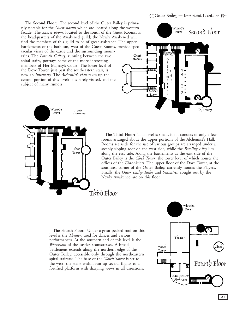- Outer Bailey — Important Locations

**The Second Floor:** The second level of the Outer Bailey is primarily notable for the *Guest Rooms* which are located along the western facade. The *Sunset Room,* located to the south of the Guest Rooms, is the headquarters of the Awakened guild; the Newly Awakened will find the members of this guild to be of great assistance. The upper battlements of the barbican, west of the Guest Rooms, provide spectacular views of the castle and the surrounding mountains. The *Portrait Gallery*, running between the two spiral stairs, portrays some of the more interesting members of Her Majesty's Court. The lower level of the Dove Tower, just past the southeastern stair, is now an *Infirmary*. The *Alchemist's Hall* takes up the central portion of this level; it is rarely visited, and the

> $Clock$ Tower





subject of many rumors.

**The Third Floor:** This level is small, for it consists of only a few rooms arranged about the upper portions of the Alchemist's Hall. Rooms set aside for the use of various groups are arranged under a steeply sloping roof on the west side, while the *Bowling Alley* lies along the east side. Along the battlements at the east side of the Outer Bailey is the *Clock Tower*, the lower level of which houses the offices of the Chroniclers. The upper floor of the Dove Tower, at the southeast corner of the Outer Bailey, currently houses the Players. Finally, the *Outer Bailey Tailor* and *Seamstress* sought out by the Newly Awakened are on this floor.

## Third Floor

**The Fourth Floor:** Under a great peaked roof on this level is the *Theater*, used for dances and various performances. At the southern end of this level is the *Workroom* of the castle's seamstresses. A broad battlement extends along the northern edge of the Outer Bailey, accessible only through the northeastern spiral staircase. The base of the *Watch Tower* is set to the west; the stairs within run up several flights to a fortified platform with dizzying views in all directions.

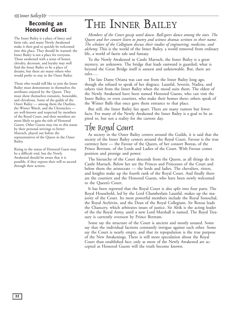## <span id="page-21-0"></span>Becoming an **Honored Guest**

The Inner Bailey is a place of fancy and fairie tale, and many Newly Awakened make it their goal to quickly be welcomed into this place. They should be warned: the Inner Bailey is not a place for everyone. Those awakened with a sense of honor, chivalry, decorum, and loyalty may well find the Inner Bailey to be a place of dreams, but there are many others who would prefer to stay in the Outer Bailey.

Those who would still like to join the Inner Bailey must demonstrate in themselves the attributes enjoyed by the Queen. They must show themselves romantic, honorable, and chivalrous. Some of the guilds of the Outer Bailey — among them the Duelists, the Winter Watch, and the Chroniclers are well-known and respected by members of the Royal Court, and their members are more likely to gain the title of Honored Guests. Other Guests may rise to this status by their personal strivings to better Marrach, played out before the representatives of the Queen in the Outer Bailey.

Rising to the status of Honored Guest may be a difficult trial, but the Newly Awakened should be aware that it is possible, if they express their will to ascend through their actions.

# THE INNER BAILEY

*Members of the Court gossip until dawn. Ball-goers dance among the stars. The Queen and her consort listen to poetry and witness dramas written in their name. The scholars of the Collegium discuss their studies of engineering, medicine, and alchemy.* This is the world of the Inner Bailey, a world removed from ordinary life, a world of faerie tale and fantasy.

To the Newly Awakened in Castle Marrach, the Inner Bailey is a great mystery, an unknown. The bridge that leads eastward is guarded; what is beyond the Great Bridge itself is unseen and unknowable. But, there are tales….

The late Dame Oriana was cast out from the Inner Bailey long ago, though she refused to speak of her disgrace. Launfal, Severin, Nadira, and others visit from the Inner Bailey when the mood suits them. The eldest of the Newly Awakened have been named Honored Guests, who can visit the Inner Bailey, or even courtiers, who make their homes there; others speak of the Winter Balls that once gave them entrance to that place.

But still, the Inner Bailey lies apart. There are many rumors but fewer facts. For many of the Newly Awakened the Inner Bailey is a goal to be aspired to, but not a reality for the current day.

## The Royal Court

As society in the Outer Bailey centers around the Guilds, it is said that the society of the Inner Bailey centers around the Royal Court. Favour is the true currency here — the Favour of the Queen, of her consort Boreas, of the Prince Bertram, of the Lords and Ladies of the Court. With Favour comes position and prestige and power.

The hierarchy of the Court descends from the Queen, as all things do in Castle Marrach. Below her are the Princes and Princesses of the Court and below them the aristocrats — the lords and ladies. The chevaliers, ritters, and knights make up the fourth rank of the Royal Court. And finally there are the courtiers and the Honored Guests, who have been newly welcomed to the Queen's Court.

It has been reported that the Royal Court is also split into four parts. The Royal Household, led by the Lord Chamberlain Launfal, makes up the majority of the Court. Its most powerful members include the Royal Seneschal, the Royal Archivist, and the Dean of the Royal Collegium. Sir Boreas leads the Chancery, which arbitrates issues of justice. Sir Alrik is the acting leader of the the Royal Army, until a new Lord Marshall is named. The Royal Treasury is currently overseen by Prince Bertram.

Some say the structure of the Court is ancient and mostly unused. Some say that the individual factions constantly intrigue against each other. Some say the Court is nearly empty, and that its repopulation is the true purpose of the New Awakenings. There is still more speculation about the Royal Court than established fact; only as more of the Newly Awakened are accepted as Honored Guests will the truth become known.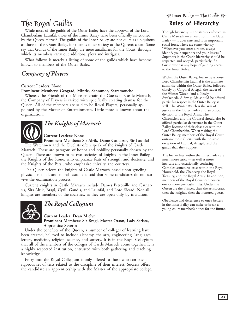# .<br>|-<br>| Inner Bailey — The Guilds

# <span id="page-22-0"></span>The Royal Guilds

While most of the guilds of the Outer Bailey have the approval of the Lord Chamberlain Launfal, those of the Inner Bailey have been officially sanctioned by the Queen Herself. The guilds of the Inner Bailey are not quite as ubiquitous as those of the Outer Bailey, for there is other society at the Queen's court. Some say that Guilds of the Inner Bailey are mere auxilliaries for the Court, through which its members carry out additional plots and intrigues.

What follows is merely a listing of some of the guilds which have become known to members of the Outer Bailey.

## *Company of Players*

### **Current Leaders: None**

#### **Prominent Members: Geograd, Mintle, Sansamor, Scaramouche**

Whereas the Friends of the Muse entertain the Guests of Castle Marrach, the Company of Players is tasked with specifically creating dramas for the Queen. All of the members are said to be Royal Players, personally appointed by the Master of Entertainments. Little more is known about the organization.



## *The Knights of Marrach*

### **Current Leaders: None**

**Prominent Members: Sir Alrik, Dame Catharsis, Sir Launfal** The Watchmen and the Duelists often speak of the knights of Castle Marrach. These are paragons of honor and nobility personally chosen by the Queen. There are known to be two societies of knights in the Inner Bailey, the Knights of the Stone, who emphasize feats of strength and dexterity, and the Knights of the Petal, who emphasize chivalry and courtesy.

The Queen selects the knights of Castle Marrach based upon grueling physical, mental, and moral tests. It is said that some candidates do not survive the examination process.

Current knights in Castle Marrach include Dames Petronille and Catharsis, Sirs Alrik, Bragi, Cyril, Gaudis, and Launfal, and Lord Sicard. Not all knights are members of the societies, as they are open only by invitation.



## *The Royal Collegium*

**Current Leader: Dean Mielyr Prominent Members: Sir Bragi, Master Orson, Lady Serista, Apprentice Severin**

Under the benefices of the Queen, a number of colleges of learning have been created, believed to include alchemy, the arts, engineering, languages, letters, medicine, religion, science, and sorcery. It is in the Royal Collegium that all of the members of the colleges of Castle Marrach come together. It is a highly respected institution, entrusted with both gathering and teaching knowledge.

Entry into the Royal Collegium is only offered to those who can pass a rigorous set of tests related to the discipline of their interest. Success offers the candidate an apprenticeship with the Master of the appropriate college.

## Rules of Hierarchy

Though hierarchy is not sternly enforced in Castle Marrach — at least not in the Outer Bailey — it does exist and is an important social force. There are some who say, "Whenever you enter a room, always identify your superiors and your lessers." Superiors in the Castle hierarchy should be respected and obeyed, particularly if a Guest ever has any hope of gaining access to the Inner Bailey.

Within the Outer Bailey, hierarchy is loose. Lord Chamberlain Launfal is the ultimate authority within the Outer Bailey, followed closely by Corporal Artegal, the leader of the Winter Watch (and a Newly Awakened). A few guilds should be offered particular respect in the Outer Bailey as well. The Winter Watch is the arm of justice in the Outer Bailey and an official division of the Royal Army. The Chroniclers and the Counsel should also be offered particular deferrence in the Outer Bailey because of their close ties with the Lord Chamberlain. When visiting the Outer Bailey, members of the Royal Court outrank most Guests, with the possible exception of Launfal, Artegal, and the guilds that they support.

The hierarchies within the Inner Bailey are much more strict — as well as more intricate and occasionally confusing. Complex structures exist within the Royal Household, the Chancery, the Royal Treasury, and the Royal Army. In addition, members of the Royal Court can possess one or more particular titles. Under the Queen are the Princes, then the artistocrats, then the knights, then the honored guests.

Obedience and deferrence to one's betters in the Inner Bailey can make or break a young court member's hopes for the future.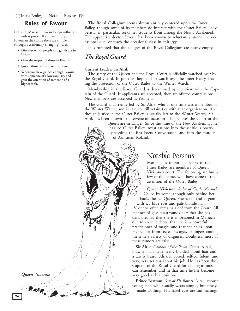## <span id="page-23-0"></span>Rules of Favour

In Castle Marrach, Favour brings influence and with it power. If you want to gain Favour in the Castle there are simple (though occasionally changing) rules.

- **Discover which people and guilds are in Favour.**
- **Gain the respect of those in Favour.**
- **Ignore those who are out of Favour.**
- **When you have gained enough Favour with someone of a low rank, try and gain the attention of someone of a higher rank.**

The Royal Collegium seems almost entirely centered upon the Inner Bailey, though some of its members do interact with the Outer Bailey. Lady Serista, in particular, seeks her students from among the Newly Awakened. The apprentice doctor Severin has been known to reluctantly attend the occasional duel or teach the occasional class in chirurgy.

It is rumored that the colleges of the Royal Collegium are nearly empty.

## *The Royal Guard*

#### **Current Leader: Sir Alrik**

The safety of the Queen and the Royal Court is officially watched over by the Royal Guard. In practice they tend to watch over the Inner Bailey, leaving the protection of the Outer Bailey to the Winter Watch.

Membership in the Royal Guard is determined by interview with the Captain of the Guard. If applicants are accepted, they are offered commissions. New members are accepted as Yeomen.

The Guard is currently led by Sir Alrik, who at one time was a member of the Winter Watch, and is said to still retain ties with that organization. Although justice in the Outer Bailey is usually left to the Winter Watch, Sir Alrik has been known to intervene on occasion if he believes the Court or the

> Queen are in danger. Since the time of the New Awakenings he has led Outer Bailey investigations into the seditious poetry preceding the first Poets' Convocation, and into the murder of Armsman Roland.



Most of the important people in the Inner Bailey are members of Queen Vivienne's court. The following are but a few of the names who have come to the attention of the Outer Bailey.

**Queen Vivienne.** *Ruler of Castle Marrach.* Called by some, though only behind her back, the Ice Queen. She is tall and elegant, with icy blue eyes and pale blonde hair. Vivienne often remains aloof from the Court. All manner of gossip surrounds her: that she has dark dreams; that she is imprisoned in Marrach due to ancient debts; that she is a powerful practicioner of magic; and that she spies upon Her Court from secret passages, or lingers among them in a variety of disguises. Doubtless, most of these rumors are false.

**Sir Alrik.** *Captain of the Royal Guard.* A tall, brawny man with neatly braided blond hair and a tawny beard. Alrik is poised, self-confident, and very, very serious about his job. He has been the Captain of the Royal Guard for as long as most can remember, and in that time he has become very good at his position.

**Prince Bertram.** *Son of Sir Boreas.* A tall, robust young man who usually wears simple, but finely made clothing. His hazel eyes are unflinching;

*Queen Vivienne*

Casp.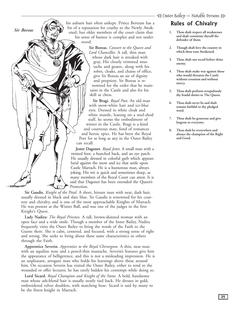*Sir Boreas*

his auburn hair often unkept. Prince Bertram has a bit of a reputation for cruelty to the Newly Awakened, but older members of the court claim that his sense of humor is complex and not understood.

> **Sir Boreas.** *Consort to the Queen and Lord Chancellor.* A tall, thin man whose dark hair is streaked with gray. His closely trimmed mustache and goatee, along with his robes, cloaks, and chains of office, give Sir Boreas an air of dignity and propriety. Sir Boreas is renowned for the order that he maintains in the Castle and also for his skill at chess.

**Sir Bragi.** *Royal Poet.* An old man with snow-white hair and ice-blue eyes. Dressed in white cloak and white mantle, leaning on a steel-shod staff, he seems the embodiment of winter in the Castle. Bragi is a kind and courteous man, fond of romances and heroic epics. He has been the Royal Poet for as long as any in the Outer Bailey can recall.

**Jester Dagonet.** *Royal Jester.* A small man with a twisted foot, a hunched back, and an eye patch. He usually dressed in colorful garb which appears lurid against the snow and ice that settle upon Castle Marrach. He is a humorous man, always joking. His wit is quick and sometimes sharp, as many members of the Royal Court can attest. It is said that Dagonet has been extended the Queen's Protection.

**Sir Gaudis.** *Knight of the Petal.* A short, hirsute man with neat, dark hair, usually dressed in black and slate blue. Sir Gaudis is renowned for his courtesy and chivalry, and is one of the most approachable Knights of Marrach. He was present at the Winter Ball, and was one of the judges in the first Knight's Quest.

**Lady Nadira:** *The Royal Priestess.* A tall, brown-skinned woman with an open face and a wide smile. Though a member of the Inner Bailey, Nadira frequently visits the Outer Bailey to bring the words of the Faith to the Guests there. She is calm, centered, and focused, with a strong sense of right and wrong. She seeks to bring about these same characteristics in others through the Faith.

**Apprentice Severin.** *Apprentice to the Royal Chirurgeon.* A thin, neat man with an aquiline nose and a pencil-thin mustache. Severin's features give him the appearance of belligerence, and this is not a misleading impression. He is an unpleasant, arrogant man who holds his learnings above those around him. On occasion Severin has visited the Outer Bailey, either to tend to the wounded or offer lectures; he has rarely hidden his contempt while doing so.

**Lord Sicard.** *Royal Champion and Knight of the Stone.* A bold, handsome man whose ash-blond hair is usually neatly tied back. He dresses in gold, embroidered velvet doublets, with matching hose. Sicard is said by many to be the finest knight in Marrach.

## **Rules of Chivalry**

- **1. Thou shalt respect all weaknesses and shalt constitute thyself the defender of them.**
- **2. Though shalt love the country in which thou wast Awakened.**
- **3. Thou shalt not recoil before thine enemy.**
- **4. Thou shalt make war against those who would threaten the Castle without cessation and without mercy.**
- **5. Thou shalt perform scrupulously thy feudal duties to The Queen.**
- **6. Thou shalt never lie and shalt remain faithful to thy pledged word.**
- **7. Thou shalt be generous and give largesse to everyone.**
- **8. Thou shalt be everywhere and always the champion of the Right and Good.**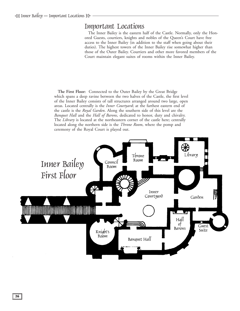## <span id="page-25-0"></span>Important Locations

The Inner Bailey is the eastern half of the Castle. Normally, only the Honored Guests, courtiers, knights and nobles of the Queen's Court have free access to the Inner Bailey (in addition to the staff when going about their duties). The highest towers of the Inner Bailey rise somewhat higher than those of the Outer Bailey. Courtiers and other more favored members of the Court maintain elegant suites of rooms within the Inner Bailey.

**The First Floor:** Connected to the Outer Bailey by the Great Bridge which spans a deep ravine between the two halves of the Castle, the first level of the Inner Bailey consists of tall structures arranged around two large, open areas. Located centrally is the *Inner Courtyard*; at the farthest eastern end of the castle is the *Royal Garden*. Along the southern side of this level are the *Banquet Hall* and the *Hall of Barons*, dedicated to honor, duty and chivalry. The *Library* is located at the northeastern corner of the castle here; centrally located along the northern side is the *Throne Room*, where the pomp and ceremony of the Royal Court is played out.

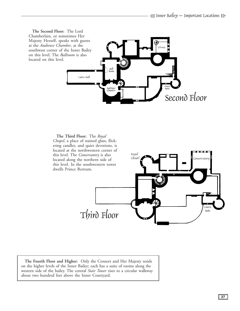![](_page_26_Figure_1.jpeg)

![](_page_26_Figure_2.jpeg)

**The Fourth Floor and Higher:** Only the Consort and Her Majesty reside on the higher levels of the Inner Bailey; each has a suite of rooms along the western side of the bailey. The central *Stair Tower* rises to a circular walkway about two hundred feet above the Inner Courtyard.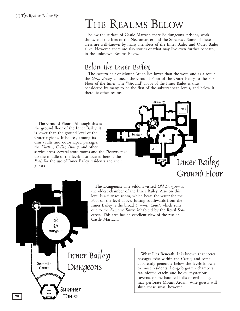# <span id="page-27-0"></span>THE REALMS BELOW

Below the surface of Castle Marrach there lie dungeons, prisons, work shops, and the lairs of the Necromancer and the Sorceress. Some of these areas are well-known by many members of the Inner Bailey and Outer Bailey alike. However, there are also stories of what may live even further beneath, in the unknown Realms Below.

## Below the Inner Bailey

The eastern half of Mount Ardan lies lower than the west, and as a result the *Great Bridge* connects the Ground Floor of the Outer Bailey to the First Floor of the Inner. The "Ground" Floor of the Inner Bailey is thus considered by many to be the first of the subterannean levels, and below it there lie other realms.

treasury

**The Ground Floor:** Although this is the ground floor of the Inner Bailey, it is lower than the ground level of the Outer regions. It houses, among its dim vaults and odd-shaped passages, the *Kitchen, Cellar, Pantry*, and other service areas. Several store rooms and the *Treasury* take up the middle of the level; also located here is the *Pool*, for the use of Inner Bailey residents and their guests.

![](_page_27_Picture_6.jpeg)

![](_page_27_Picture_7.jpeg)

**The Dungeons:** The seldom-visited *Old Dungeon* is the oldest chamber of the Inner Bailey. Also on this level is a furnace room, which heats the water for the Pool on the level above. Jutting southwards from the Inner Bailey is the broad *Summer Court*, which runs out to the *Summer Tower*, inhabited by the Royal Sorceress. This area has an excellent view of the rest of Castle Marrach.

> **What Lies Beneath:** It is known that secret passages exist within the Castle; and some apparently penetrate below the levels known to most residents. Long-forgotten chambers, rat-infested cracks and holes, mysterious caverns, or the haunted halls of evil beings may perforate Mount Ardan. Wise guests will shun these areas, however.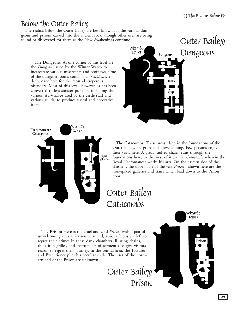## <span id="page-28-0"></span>Below the Outer Bailey

The realms below the Outer Bailey are best known for the various dungeons and prisons carved into the ancient rock, though other uses are being found or discovered for them as the New Awakenings continue.

**The Dungeons:** At one corner of this level are the *Dungeons*, used by the Winter Watch to incarcerate various miscreants and scofflaws. One of the dungeon rooms contains an *Oubliette*, a deep, dark hole for the most obstreperous offenders. Most of this level, however, is has been converted to less sinister pursuits, including the various *Work Shops* used by the castle staff and various guilds, to produce useful and decorative items.

![](_page_28_Picture_4.jpeg)

![](_page_28_Picture_5.jpeg)

**The Catacombs:** These areas, deep in the foundations of the Outer Bailey, are grim and unwelcoming. Few persons enjoy their visits here. A great vaulted chasm runs through the foundations here; to the west of it are the *Catacombs* wherein the Royal Necromancer works his arts. On the eastern side of the chasm is the upper part of the vast *Prison*—shown here are the iron-spiked galleries and stairs which lead down to the Prison floor.

# Outer Bailey Catacombs

**The Prison:** Here is the cruel and cold *Prison*, with a pair of unwelcoming cells at its southern end; serious felons are left to regret their crimes in these dank chambers. Rusting chains, thick iron grilles, and instruments of torment also give visitors reason to regret their journey. In the central area, the Torturer and Executioner plies his peculiar trade. The uses of the northern end of the Prison are unknown.

![](_page_28_Picture_10.jpeg)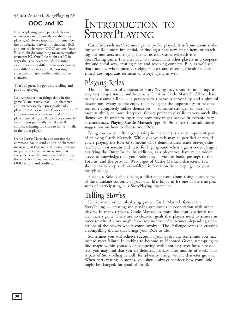# <span id="page-29-0"></span>÷(Introduction to StoryPlaying e

## OOC and IC

In a roleplaying game, particularly one where you can't physically see the other players, it's always important to remember the boundaries between in-character (IC) and out-of-character (OOC) actions. Your Role might do something mean to another character IC. Your Role might act IC in ways that you never would; she might espouse radically different views or portray very different emotions. IC you might enter into a major conflict with another character.

That's all great. It's good storytelling and good roleplaying.

Just remember that things done in the game IC are exactly that — in-character and not necessarily representative of a player's OOC views, beliefs, or emotions. If you ever want to check and make sure a player isn't taking an IC conflict personally — or if you personally feel like an IC conflict is hitting too close to home — talk to the other player.

Inside Castle Marrach, you can use the command *ooc* to send an out-of-character message. Just type *ooc* and then a message in quotes. It's a way to make sure that everyone is on the same page and is using the same boundary mark between IC and OOC actions and conflicts.

# INTRODUCTION TO STORYPLAYING

Castle Marrach *isn't* like most games you've played. It isn't *just* about making your Role more influential, or finding a neat new magic item, or searching out monsters and slaying them. Instead, Castle Marrach is a StoryPlaying game. It invites you to interact with other players in a cooperative and social way, creating plots and resolving conflicts. But, as we'll see, that's not the whole picture: seeking success and meeting friends (and enemies) are important elements of StoryPlaying as well.

## Playing Roles

Though the idea of cooperative StoryPlaying may sound intimidating, it's very easy to get started and become a Guest in Castle Marrach. All you have to do is assume a Role — a person with a name, a personality, and a physical description. Many people enjoy roleplaying for the opportunity to become someone completely unlike themselves — someone stronger, or wiser, or more truthful, or more deceptive. Others prefer to play Roles very much like themselves, in order to experience how they might behave in extraordinary circumstances. **[Playing Castle Marrach](#page-31-0)** (pgs. 30-36) offers some additional suggestions on how to choose your Role.

Being true to your Role (or playing in character) is a very important part of enjoying Castle Marrach. While you yourself may be petrified of rats, if you're playing the Role of someone who's demonstrated acute bravery, she had better not scream and head for high ground when a giant rodent begins terrifying the Outer Bailey. In addition, as a player you have much wider access to knowledge than your Role does — via this book, postings to the Forums, and the personal Web pages of Castle Marrach characters. You should try to keep such out-of-Role information from seeping into your StoryPlaying.

Playing a Role is about being a different person, about rising above some of the mundane concerns of your own life. Enjoy it! It's one of the true pleasures of participating in a StoryPlaying experience.

## Telling Stories

Unlike many other roleplaying games, Castle Marrach focuses on StoryTelling — creating and playing out stories in cooperation with other players. In many respects, Castle Marrach is more like improvisational theater than a game. There are no clear-cut goals that players need to achieve in order to win. A story might have any number of outcomes, depending upon actions of the players who become involved. The challenge comes in creating a compelling drama that brings your Role to life.

Sometimes you will achieve success in your goals, but sometimes you may instead meet failure. In seeking to become an Honored Guest, attempting to find magic within yourself, or competing with another player for a rare object, you may find that you are defeated, perhaps after months of work. This is part of StoryTelling as well, for adversity brings with it character growth. When participating in stories, you should always consider how your Role might be changed, for good of for ill.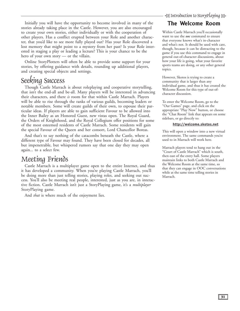<span id="page-30-0"></span>Initially you will have the opportunity to become involved in many of the stories already taking place in the Castle. However, you are also encouraged to create your own stories, either individually or with the cooperation of other players. Has a conflict erupted between your Role and another character, that you'd like to see more fully played out? Has your Role discovered a lost memory that might point to a mystery from her past? Is your Role interested in staging a play or leading a lecture? This is your chance to be the hero of your own story — or the villain.

Online StoryPlotters will often be able to provide some support for your stories, by offering guidance with details, rounding up additional players, and creating special objects and settings.

## Seeking Success

Though Castle Marrach is about roleplaying and cooperative storytelling, that isn't the end-all and be-all. Many players will be interested in advancing their characters, and there *is* room for that within Castle Marrach. Players will be able to rise through the ranks of various guilds, becoming leaders or notable members. Some will create guilds of their own, to espouse their particular ideas. If players are able to gain sufficient Favour to be allowed into the Inner Bailey as an Honored Guest, new vistas open. The Royal Guard, the Orders of Knighthood, and the Royal Collegium offer positions for some of the most esteemed residents of Castle Marrach. Some residents will gain the special Favour of the Queen and her consort, Lord Chancellor Boreas.

And that's to say nothing of the catacombs beneath the Castle, where a different type of Favour may found. They have been closed for decades, all but impenetrable, but whispered rumors say that one day they may open again... to a select few.

## Meeting Friends

Castle Marrach is a multiplayer game open to the entire Internet, and thus it has developed a community. When you're playing Castle Marrach, you'll be doing more than just telling stories, playing roles, and seeking out success. You'll also be meeting real people, interested, just as you are, in interactive fiction. Castle Marrach isn't just a StoryPlaying game, it's a *multiplayer* StoryPlaying game.

And *that* is where much of the enjoyment lies.

## The Welcome Room

Within Castle Marrach you'll occasionally want to use the *ooc* command to ensure that everyone knows what's in-character and what's not. It should be used with care, though, because it can be distracting to the game if you use this command to engage in general out-of-character discussions, about how your life is going, what your favorite sports teams are doing, or any other general topics.

However, Skotos is trying to create a community that is larger than any individual game, and thus it has created the Welcome Room for this type of out-ofcharacter discussion.

To enter the Welcome Room, go to the "Our Games" page, and click on the appropriate "Play Now" button, or choose the "Chat Room" link that appears on some sidebars, or go directly to:

#### **<http://welcome.skotos.net>**

This will open a window into a new virtual environment. The same commands you're used to in Marrach will work here.

Marrach players tend to hang out in the "Court of Castle Marrach" which is south, then east of the entry hall. Some players maintain links to both Castle Marrach and the Welcome Room at the same time, so that they can engage in OOC conversations while at the same time telling stories in Marrach.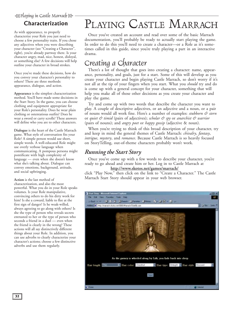# <span id="page-31-0"></span>-<br>국 Playing in Castle Marrach B

## Characterization

As with appearance, to properly characterize your Role you just need to choose a few personality traits. If you chose any adjectives when you were describing your character (see "Creating a Character", right), you're already partway there. Is your character angry, mad, nice, honest, disloyal, or something else? A few decisions will help outline your character in broad strokes.

Once you've made these decisions, how do you convey your character's personality to others? There are three methods: appearance, dialogue, and action.

**Appearance** is the simplest characterization method. You'll have made some decisions in the Start Story. In the game, you can choose clothing and equipment appropriate for your Role's personality. Does he wear plain clothing or ostentatious outfits? Does he wear a sword or carry scrolls? These answers will define who you are to other characters.

**Dialogue** is the heart of the Castle Marrach game. What style of conversation fits your Role? A simple person would use short, simple words. A well-educated Role might use overly verbose language when communicating. A pompous persona might pontificate with high complexity of language — even when she doesn't know what she's talking about. Dialogue can convey emotions, background, attitude, and social upbringing.

**Action** is the last method of characterization, and also the most powerful. What you do in your Role speaks volumes. Is your Role manipulative, convincing others to do his dirty work for him? Is she a coward, liable to flee at the first sign of danger? Is he weak-willed, always agreeing to go along with others? Is she the type of person who reveals secrets entrusted to her or the type of person who seconds a friend in a duel — even when the friend is clearly in the wrong? These actions will all say distinctively different things about your Role. In addition, you can use adverbs to clearly characterize your character's actions; choose a few distinctive adverbs and use them regularly.

# PLAYING CASTLE MARRACH

Once you've created an account and read over some of the basic Marrach documentation, you'll probably be ready to actually start playing the game. In order to do this you'll need to create a character—or a Role as it's sometimes called in this guide, since you're truly playing a part in an interactive drama.

## Creating a Character

There's a lot of thought that goes into creating a character: name, appearance, personality, and goals, just for a start. Some of this will develop as you create your character and begin playing Castle Marrach, so don't worry if it's not all at the tip of your fingers when you start. What you *should* try and do is come up with a general concept for your character, something that will help you make all of those other decisions as you create your character and play the game.

Try and come up with two words that describe the character you want to play. A couple of descriptive adjectives, or an adjective and a noun, or a pair of nouns would all work fine. Here's a number of examples: *stubborn & stern* or *quiet & timid* (pairs of adjectives); *scholar & spy* or *anarchist & warrior* (pairs of nouns); and *angry poet* or *happy gossip* (adjective & noun).

When you're trying to think of this broad description of your character, try and keep in mind the general themes of Castle Marrach: *chivalry*, *fantasy*, *intrigue*, *mystery*, and *romance*. Because Castle Marrach is so heavily focused on StoryTelling, out-of-theme characters probably won't work.

## *Running the Start Story*

Once you've come up with a few words to describe your character, you're ready to go ahead and create him or her. Log in to Castle Marrach at **<http://www.skotos.net/games/marrach/>**

click "Play Now," then click on the link to "Create a Character." The Castle Marrach Start Story should appear in your web browser.

![](_page_31_Picture_16.jpeg)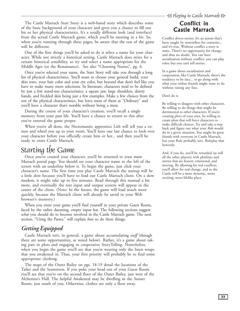<span id="page-32-0"></span>The Castle Marrach Start Story is a web-based story which describes some of the basic background of your character and gives you a chance to fill out his or her physical characteristics. It's a totally different look (and interface) from the actual Castle Marrach game, which you'll be meeting in a bit. So, when you're running through these pages, be aware that the rest of the game will be different.

One of the first things you'll be asked to do is select a name for your character. While not strictly a historical setting, Castle Marrach does strive for a certain historical sensibility, so try and select a name appropriate for the Middle Ages (or the Renaissance). See also ["Choosing Names"](#page-7-0), pg. 6.

Once you've selected your name, the Start Story will take you through a long list of physical characteristics. You'll want to choose your general build, your skin tone, your hair color and your eye color, but beyond that don't feel like you have to make many more selections. In literature, characters tend to be defined by just a few stand-out characteristics: a square jaw, large shoulders, dainty hands, and freckled skin being just a few examples. Make a few choices from the rest of the physical characteristics, but leave most of them as "Ordinary" and you'll have a character that's notable without being a mess.

During the course of your character's creation, you'll recall a single memory from your past life. You'll have a chance to return to this after you've entered the game proper.

When you're all done, the Necromantic apprentice Lith will tell you a rumor and wheel you up to your room. You'll have one last chance to look over your character before you officially create him or her... and then you'll be ready to enter Castle Marrach.

## Starting the Game

Once you've created your character, you'll be returned to your main Marrach portal page. You should see your character name to the left of the screen with an underline below it. To begin the game, just click your character's name. The first time you play Castle Marrach the startup will be a little slow because you'll have to load our Castle Marrach client. On a slow modem, it might take up to five minutes. Read through this manual a bit more, and eventually the text input and output screens will appear in the center of the client. (Note: In the future, the game will load much more quickly, because the Marrach client will already be saved in your Web browser's memory.)

When you enter your game you'll find yourself in your private Guest Room, faced by the rather daunting, empty input bar. The following sections suggest *what* you should do to become involved in the Castle Marrach game. The next section, "Using the Parser," will explain *how* to do these things.

## *Getting Equipped*

Castle Marrach isn't, in general, a game about accumulating *stuff* (though there are some opportunities, as noted below). Rather, it's a game about taking part in plots and engaging in cooperative StoryTelling. Nonetheless, when you begin the game you'll see that you're wearing only the linen wraps that you awakened in. Thus, your first priority will probably be to find some appropriate clothing.

The [maps of the Outer Bailey](#page-19-0) on pgs. 18-19 detail the locations of the Tailor and the Seamstress. If you poke your head out of your Guest Room you'll see that you're on the second floor of the Outer Bailey, just west of the Alchemist's Hall. The helpful Awakened may be dwelling in the Sunset Room, just south of you. Otherwise, clothes are only a floor away.

## Conflict in Castle Marrach

Conflict drives stories. It's an axiom that's been taught by storytellers for centuries... and it's true. Without conflict a story is static. There's no opportunity for change, and thus no doubt. You can have socialization without conflict; you can play roles; but you can't tell stories.

In a game about socialization and cooperation, like Castle Marrach, there's the tendency to be nice... to go along with what your online friends might want to do without raising any fuss.

Don't do it.

Be willing to disagree with other characters. Be willing to do things that might be detrimental to other characters. If you're creating plots of your own, be willing to create plots that will force characters to make difficult choices. Try and take a step back and figure out what your *Role* would do in a given situation. You might be great friends with everyone in Castle Marrach, but your Role probably isn't. Roleplay that honestly.

And, if you do, you'll be rewarded (as will all the other players) with plotlines and stories that are honest, emotional, and moving. By allowing for real conflicts, you'll allow for real change, and so the Castle will be a more dynamic, more exciting, more lifelike place.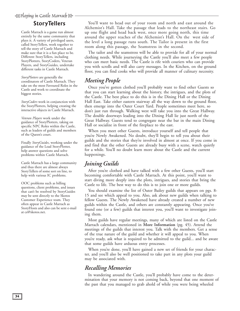# -<br>국 Playing in Castle Marrach B

## **StoryTellers**

Castle Marrach is a game run almost entirely by the same community that plays it. A variety of privileged users, called StoryTellers, work together to tell the story of Castle Marrach and make sure that it is a fun place to be. Different StoryTellers, including StoryPlotters, StoryCoders, Veteran Players, and StoryGuides, undertake different tasks in Castle Marrach.

*StoryPlotters* are generally the coordinators of Castle Marrach. They take on the most Favoured Roles in the Castle and work to coordinate the biggest stories.

*StoryCoders* work in conjunction with the StoryPlotters, helping creating the interactive objects in Castle Marrach.

*Veteran Players* work under the guidance of StoryPlotters, taking on specific NPC Roles within the Castle, such as leaders of guilds and members of the Queen's court.

Finally *StoryGuides*, working under the guidance of the Lead StoryPlotter, help answer questions and solve problems within Castle Marrach.

Castle Marrach has a large community and thus there are almost always StoryTellers of some sort on line, to help with various IC problems.

OOC problems such as billing questions, client problems, and issues that can't be resolved by StoryGuides may be sent directly to the Skotos Customer Experience team. They often appear in Castle Marrach as StoryHosts and also can be sent e-mail at ce@skotos.net.

You'll want to head out of your room and north and east around the Alchemist's Hall. Take the passage that leads to the northeast stairs. Go up one flight and head back west, once more going north, this time around the upper reaches of the Alchemist's Hall. On the west side of the level a long passage runs south. The Tailor is present in the first room along this passage, the Seamstress in the second.

The tailor and the seamstress will be able to provide for all of your normal clothing needs. While journeying the Castle you'll also meet a few people who can meet basic needs. The Castle is rife with couriers who can provide you with scrolls and will also carry messages. In the Kitchen, on the ground floor, you can find cooks who will provide all manner of culinary necessity.

## *Meeting People*

Once you've gotten clothed you'll probably want to find other Guests so that you can start learning about the history, the intrigues, and the plots of the Castle. The best place to do this is in the Dining Hall or the Dining Hall East. Take either eastern stairway all the way down to the ground floor, then emerge into the Outer Court Yard. People sometimes meet here, so don't just run through. Walking west will take you into the Great Hallway. The double doorways leading into the Dining Hall lie just north of the Great Hallway. Guests tend to congregate near the bar in the main Dining Hall or socialize in front of the fireplace to the east.

When you meet other Guests, introduce yourself and tell people that you're Newly Awakened. No doubt, they'll begin to tell you about their guilds and the stories that they're involved in almost at once. If you come in and find that the other Guests are already busy with a scene, watch quietly for a while. You'll no doubt learn more about the Castle and the current happenings.

## *Joining Guilds*

After you're clothed and have talked with a few other Guests, you'll start becoming comfortable with Castle Marrach. At this point, you'll want to start diving more deeply into the plots, intrigues, and stories that bring the Castle to life. The best way to do this is to join one or more guilds.

You should examine [the list of Outer Bailey guilds](#page-9-0) that appears on pgs. 8- 15 and see which appeal to you. Also, ask about new guilds when talking to fellow Guests. The Newly Awakened have already created a number of new guilds within the Castle, and others are constantly appearing. Once you've found one (or a few) guilds that interest you, you'll want to investigate joining them.

Most guilds have regular meetings, many of which are listed on the Castle Marrach calendars, mentioned in **[More Information](#page-46-0)** (pg. 45). Attend the meetings of the guilds that interest you. Talk with the members. Get a sense of the true nature of the guild and whether it will appeal to you. When you're ready, ask what is required to be admitted to the guild... and be aware that some guilds have arduous entry processes.

When you're done, you'll have gained a new set of friends for your character, and you'll also be well positioned to take part in any plots your guild may be associated with.

## *Recalling Memories*

In wandering around the Castle, you'll probably have come to the determination that your memory is not coming back, beyond that one moment of the past that you managed to grab ahold of while you were being wheeled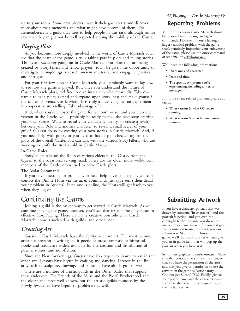<span id="page-34-0"></span>up to your room. Some new players make it their goal to try and discover more about their memories and what might have become of them. The Rememberers is a guild that tries to help people in this task, although rumor says that they might not be well respected among the nobility of the Court.

## *Playing Plots*

As you become more deeply involved in the world of Castle Marrach you'll see that the heart of the game is truly taking part in plots and telling stories. Things are *constantly* going on in Castle Marrach, via plots that are being created by StoryTellers and fellow players. You'll be given the opportunity to investigate wrongdoings, research ancient mysteries, and engage in politics and intrigue.

For your first few days in Castle Marrach, you'll probably want to lay low, to see how the game is played. But, once you understand the nature of Castle Marrach plots, feel free to dive into them wholeheartedly. Take dynamic roles in plots; extend and expand upon storylines; and make yourself the center of events. Castle Marrach is truly a creative game, an experiment in cooperative storytelling. Take advantage of it.

And, when you've enjoyed the game for a month or so, and you're an old veteran in the Castle, you'll probably be ready to take the next step: crafting your own stories. Want to reveal your character's history, to create a rivalry between your Role and another character, to reveal a small secret of your guild? You can do so by creating your own stories in Castle Marrach. And, if you need help with props, or you need to have a plot checked against the plots of the overall Castle, you can talk with the various StoryTellers, who are working to unify the stories told in Castle Marrach.

#### **In-Game Roles**

StoryTellers take on the Roles of various elders in the Castle, from the Queen to the occasional serving maid. These are the older, more well-known members of the Castle, often used to drive Castle plots.

#### **The Assist Command**

If you have questions or problems, or need help advancing a plot, you can contact the Online Hosts via the *assist* command. Just type *assist* then detail your problem in "quotes". If no one is online, the Hosts will get back to you when they log on.

## Continuing the Game

Joining a guild is the easiest way to get started in Castle Marrach. As you continue playing the game, however, you'll see that it's not the only route to effective StoryPlaying. There are many creative possibilities in Castle Marrach, some associated with guilds, and others not.

## *Creating Art*

Guests in Castle Marrach have the ability to create art. The most common artistic expression is writing, be it poetic or prose, fantastic or historical. Books and scrolls are widely available for the creation and distribution of poems, stories, and non-fiction.

Since the New Awakenings, Guests have also begun to show interest in the other arts. Lessons have begun in crafting and dancing. Interest in the fine arts, such as sculpture, drawing, and painting, have also begun to wax.

There are a number of artistic guilds in the Outer Bailey that support these endeavors. The Friends of the Muse and the Poets' Brotherhood and the oldest and most well-known, but the artistic guilds founded by the Newly Awakened have begun to proliferate as well.

극 Playing in Castle Marrach g

## **Reporting Problems**

Minor problems in Castle Marrach should be reported with the *bug* and *typo* commands. However, if you're having a larger technical problem with the game that's genuinely impacting your enjoyment of the game, please use the *assist* command or send mail to **ce@skotos.net.**

We'll need the following information:

- **Username and character.**
- **Date and time.**
- **The specific symptoms you're experiencing, including any error messages.**

If this is a client-related problem, please also tell us:

- **What version & what OS you're running.**
- **What version & what browser you're running.**

## Submitting Artwork

If you have a character portrait that was drawn by someone "in-character", and the portrait is period, and you own the copyright (either because you drew the image, or someone drew it for you and gave you permission to use it online), you can submit it to Skotos for inclusion in the game. We'll host it on our server, and give you an in-game item that will pop up the portrait when you look at it.

Send these graphics to ce@skotos.net. Make sure that you say that you are the artist, or that you have the permission of the artist, and that you give us permission to use the artwork in the game as Participatory Content per Skotos' TOS. Finally, give us your player name and the character name you'd like the sketch to be "signed" by, as the in-character artist.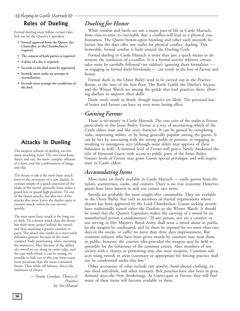## Rules of Dueling

Formal dueling must follow certain rules laid out by the Queen's Capitulary.

- **Formal approval from the Queen, the Chancellor, or the Chamberlain is required.**
- **The consent of both parties is required.**
- **A delay of a day is required.**
- **Seconds to the duel must be appointed.**
- **Seconds must make an attempt at reconciliation.**
- **Seconds must arrange the conditions of the duel.**

## Attacks in Dueling

The modern schools of dueling use five main attacking styles. The two most basic, thrust and cut, the more complex offenses of a feint, and the combinations of lunge and slip.

The thrust or jab is the most basic attack form in the inventory of a new duelist. It consists simply of a quick extension of the blade of the sword, generally from either a guard low or guard high position. Tis one of the fastest attacks, but also one of the attacks that most leaves the duelist open to counter attack, unless he can recover quickly.

The next most basic attack is the long cut or slash. Tis a slower attack than the thrust, but with more power behind the sword, and thus requiring a greater exertion to parry. The attack also results in a more solid defensive posture because of the more compact body positioning when executing the maneuver. Also, because of the ability of a sword to cut along its entire edge, and the ease with which it can be swung, tis possible to lash out in this way from many more positions than the more contained thrust. Thus while off balance, this is the maneuver of choice.

> — From *Combat, Theory & Practice* by Ser Martel

## *Dueling for Honor*

While combat and battle are not a major part of life in Castle Marrach, from time-to-time it's inevitable that a conflict will lead to a physical confrontation. The Queen frowns upon brawling and other such uncouth behavior, but she does offer one outlet for physical conflict: dueling. This honorable, formal combat is built around the Dueling Code.

Formal dueling in Castle Marrach is more than just a quick means to determine the resolution of a conflict. It is a formal activity wherein certain rules must be carefully followed (see sidebar); ignoring these formalities or engaging in formal duels frivolously — can result in the loss of Favour and honor.

Formal duels in the Outer Bailey tend to be carried out in the Practice Room, to the west of the first floor. The Battle Guild, the Duelist's Society, and the Winter Watch are among the guilds that lead practices there, allowing duelists to improve their skills.

Duels rarely result in death, though injuries are likely. The potential loss of honor and Favour can have an even more lasting effect.

## *Gaining Favour*

There is no money in Castle Marrach. The true coin of the realm is Favour, particularly in the Inner Bailey. Favour is a way of ascertaining which of the Castle elders trust and like your character. It can be gained by completing tasks, impressing nobles, or by being generally popular among the guests. It can be lost by associating with the wrong guilds or persons, or engaging in insulting or outrageous acts (although some elders may approve of these bahaviors as well). A minimal level of Favour will gain a Newly Awakened the title of Honored Guest, with access to public parts of the Inner Bailey. Greater levels of Favour may grant Guests special priveleges, and will inspire trust in Castle elders.

## *Accumulating Items*

Most items are freely available in Castle Marrach — easily gotten from the tailors, seamstresses, cooks, and couriers. There is no true economy. However, guests have been known to seek out certain rare items.

Swords are probably the most sought-after commodity. They are available in the Outer Bailey, but only to members of martial organizations whose charter has been approved by the Lord Chamberlain. Guests seeking swords have traditionally joined either the Duelists or the Winter Watch. It should be noted that the Queen's Capitulary makes the carrying of a sword by an unauthorized person a misdemeanor: "If any person, not yet a courtier, or not serving in Her Majesty's Royal Army, shall wear a sword about in public, let the weapon be confiscated, and let them be exposed for no more than two days in the stocks, or suffer no more than three days imprisonment. But common subjects who have been given swords by courtiers may wear them in public; however, the courtier who provided the weapon may be held responsible for the behaviour of the common citizen. Also, members of any society with a charter so permitting may also wear weapons. Common subjects using swords in areas customary or appropriate for fencing practice shall not be condemned under this law."

Other accessories of value include rare jewelry, hand-altered clothing, exotic food and drink, and other treasures. Belt pouches have also been in great demand since the New Awakenings. As Guests gain in Favour, they will find many of these items will become available to them.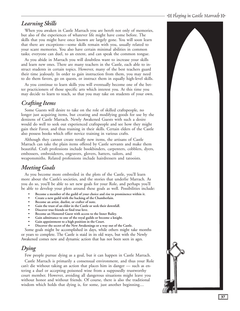# 극 Playing in Castle Marrach g

## *Learning Skills*

When you awaken in Castle Marrach you are bereft not only of memories, but also of the experiences of whatever life might have come before. The skills that you might have once known are largely gone. You will soon learn that there are exceptions—some skills remain with you, usually related to your scant memories. You also have certain minimal abilities in common tasks; everyone can duel, to an extent, and can speak the common tongue.

As you abide in Marrach you will doubtless want to increase your skills and learn new ones. There are many teachers in the Castle, each able to instruct students in certain topics. However, many of the best teachers guard their time jealously. In order to gain instruction from them, you may need to do them favors, go on quests, or instruct them in equally high-level skills.

As you continue to learn skills you will eventually become one of the better practicioners of those specific arts which interest you. At this time you may decide to learn to teach, so that you may take on students of your own.

## *Crafting Items*

Some Guests will desire to take on the role of skilled craftspeople, no longer just acquiring items, but creating and modifying goods for use by the denizens of Castle Marrach. Newly Awakened Guests with such a desire would do well to seek out experienced craftspeople and see how they might gain their Favor, and thus training in their skills. Certain elders of the Castle also possess books which offer novice training in various crafts.

Although they cannot create totally new items, the artisans of Castle Marrach can take the plain items offered by Castle servants and make them beautiful. Craft professions include bookbinders, carpenters, cobblers, dyers, embossers, embroiderers, engravers, glovers, hatters, tailors, and weaponsmiths. Related professions include hairdressers and tatooists.

## *Meeting Goals*

As you become more embroiled in the plots of the Castle, you'll learn more about the Castle's societies, and the stories that underlie Marrach. As you do so, you'll be able to set new goals for your Role, and perhaps you'll be able to develop your plots around these goals as well. Possibilities include:

- **Become a member of the guild of your choice and rise to prominence within it.**
- **Create a new guild with the backing of the Chamberlain.**
- **Become an artist, duelist, or crafter of note.**
- **Gain the trust of an elder in the Castle or seek their downfall.**
- **Discover true friends or find true love.**
- **Become an Honored Guest with access to the Inner Bailey.**
- **Gain admittance to one of the royal guilds or become a knight.**
- **Gain appointment to a high position in the Court.**
- **Discover the secret of the New Awakenings or a way out of the Castle.**

Some goals might be accomplished in days, while others might take months or years to complete. The Castle is staid in its old ways, but with the Newly Awakened comes new and dynamic action that has not been seen in ages.

## *Dying*

Few people pursue dying as a goal, but it can happen in Castle Marrach.

Castle Marrach is primarily a consensual environment, and thus your Role can't die without taking an action that places him in danger — such as entering a duel or accepting poisoned wine from a supposedly trustworthy court member. However, avoiding all dangerous situations might leave you without honor and without friends. Of course, there is also the traditional wisdom which holds that dying is, for some, just another beginning....

![](_page_36_Picture_23.jpeg)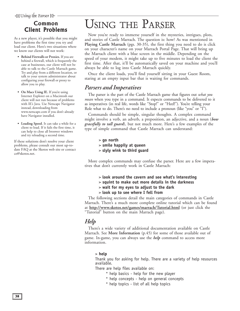## <span id="page-37-0"></span>Common **Client Problems**

As a new player, it's possible that you might have problems the first time you try and load our client. Here's two situations where we know our clients will not work:

- **Behind Firewalls or Proxies.** If you are behind a firewall, which is frequently the case at businesses, our client will not be able to talk to the Castle Marrach game. Try and play from a different location, or talk to your system administrator about configuring your firewall or proxy to allow you to play.
- **On Macs Using IE.** If you're using Internet Explorer on a Macintosh our client will not run because of problems with IE's Java. Use Netscape Navigator instead, downloading from www.netscape.com if you don't already have Navigator installed.
- **Loading Speed.** It can take a while for a client to load. If it fails the first time, it can help to close all broswer windows and try reloading a second time.

If these solutions don't resolve your client problems, please consult our most up-todate FAQ at the Skotos web site or contact ce@skotos.net.

# USING THE PARSER

Now you're ready to immerse yourself in the mysteries, intrigues, plots, and stories of Castle Marrach. The question is: how? As was mentioned in **[Playing Castle Marrach](#page-31-0)** (pgs. 30-35), the first thing you need to do is click on your character's name on your Marrach Portal Page. That will bring up the Marrach client with a blue screen in the middle. Depending on the speed of your modem, it might take up to five minutes to load the client the first time. After that, it'll be automatically saved on your machine and you'll always be able to log into Castle Marrach quickly.

Once the client loads, you'll find yourself sitting in your Guest Room, staring at an empty input bar that is waiting for commands.

## *Parsers and Imperatives*

The parser is the part of the Castle Marrach game that figures out *what you mean* when you type in a command. It expects commands to be delivered to it as imperatives (in real life, words like "Stop!" or "Heel!"). You're telling your Role what to do. There's no need to include a pronoun (like "you" or "I").

Commands should be simple, singular thoughts. A complex command might involve a verb, an adverb, a preposition, an adjective, and a noun (*bow gracefully to tall guard*), but not much more. Here's a few examples of the type of simple command that Castle Marrach can understand:

- > **go north**
- > **smile happily at queen**
- > **slyly wink to third guard**

More complex commands may confuse the parser. Here are a few imperatives that don't currently work in Castle Marrach:

- > **look around the cavern and see what's interesting**
- > **squint to make out more details in the darkness**
- > **wait for my eyes to adjust to the dark**
- > **look up to see where I fell from**

The following sections detail the main categories of commands in Castle Marrach. There's a much more complete online tutorial which can be found at **[http://www.skotos.net/games/marrach/Tutorial.html](http://www.skotos.net/games/marrach/Tutorial.html )** (or just click the "Tutorial" button on the main Marrach page).

## *Help*

There's a wide variety of additional documentation available on Castle Marrach. See **[More Information](#page-46-0)** (p.45) for some of those available out of game. In-game, you can always use the *help* command to access more information.

#### > **help**

Thank you for asking for help. There are a variety of help resources available.

There are help files available on:

- \* help basics help for the new player
- \* help concepts help on general concepts
- \* help topics list of all help topics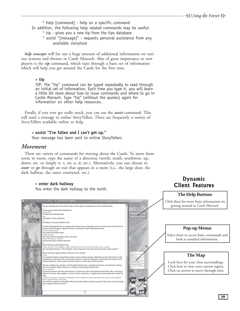**Dynamic** Client Features

- \* help [command] help on a specific command
- In addition, the following help related commands may be useful:
	- \* tip gives you a new tip from the tips database
	- \* assist "[message]" requests personal assistance from any available storyhost

*help concepts* will list out a huge amount of additional information on various systems and themes in Castle Marrach. Also of great importance to new players is the *tip* command, which runs through a basic set of information which will help you get around the Castle for the first time.

#### > **tip**

TIP: The "tip" command can be typed repeatedly to read through an initial set of information. Each time you type it, you will learn a little bit more about how to issue commands and where to go in Castle Marrach. Type "tip" (without the quotes) again for information on other help resources.

Finally, if you ever get really stuck, you can use the *assist* command. This will send a message to online StoryTellers. There are frequently a variety of StoryTellers available online to help.

#### > **assist "I've fallen and I can't get up."**

Your message has been sent to online StoryTellers

### *Movement*

There are variety of commands for moving about the Castle. To move from room to room, type the name of a direction (north, south, southwest, up, down, etc. or simply n, s, sw, u, d, etc.). Alternatively, you can choose to *enter* or *go* through an exit that appears in a room (i.e., the large door, the dark hallway, the outer courtyard, etc.).

### > **enter dark hallway**

You enter the dark hallway to the north.

![](_page_38_Picture_15.jpeg)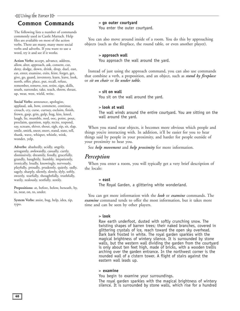# $\triangleq$ Using the Parser

## Common Commands

The following lists a number of commands commonly used in Castle Marrach. Help files are available on most of the action verbs. There are many, many more social verbs and adverbs. If you want to use a word, try it and see if it works.

**Action Verbs:** accept, advance, address, allow, alter, approach, ask, consent, cut, deny, dodge, down, drink, drop, duel, east, eat, enter, examine, exits, feint, forget, get, give, go, guard, inventory, learn, leave, look, north, offer, place, put, recall, refuse, remember, remove, rest, retire, sign, skills, south, surrender, take, teach, throw, thrust, up, wear, west, wield, write.

**Social Verbs:** announce, apologize, applaud, ask, bow, comment, continue, crouch, cry, curse, curtsey, exclaim, finish, frown, gasp, grin, gulp, hug, kiss, kneel, laugh, lie, mumble, nod, ooc, point, pout, proclaim, question, reply, recite, respond, say, scream, shiver, shout, sigh, sip, sit, slap, smile, smirk, sneer, snort, stand, state, tell, thank, wave, whisper, whistle, wink, wonder, yelp.

**Adverbs:** abashedly, acidly, angrily, arrogantly, awkwardly, casually, curtly, dismissively, dreamily, fondly, gracefully, grandly, haughtily, humbly, impatiently, ironically, loudly, knowingly, nervously, playfully, proudly, prudently, quietly, sadly, sagely, sharply, silently, slowly, slyly, softly, sweetly, tearfully, thoughtfully, truthfully, warily, zealously, zestfully, zestily.

**Prepositions:** at, before, below, beneath, by, in, near, on, to, under.

**System Verbs:** assist, bug, help, idea, tip, typo.

#### > **go outer courtyard**

You enter the outer courtyard.

You can also move around inside of a room. You do this by approaching objects (such as the fireplace, the round table, or even another player).

#### > **approach wall**

You approach the wall around the yard.

Instead of just using the approach command, you can also use commands that combine a verb, a preposition, and an object, such as *stand by fireplace* or *sit on chair* or *lie under table*.

#### > **sit on wall**

You sit on the wall around the yard.

#### > **look at wall**

The wall winds around the entire courtyard. You are sitting on the wall around the yard.

When you stand near objects, it becomes more obvious which people and things you're interacting with. In addition, it'll be easier for you to hear things said by people in your proximity, and harder for people outside of your proximity to hear you.

See *help movement* and *help proximity* for more information.

### *Perception*

When you enter a room, you will typically get a very brief description of the locale:

#### > **east**

The Royal Garden, a glittering white wonderland.

You can get more information with the *look* or *examine* commands. The *examine* command tends to offer the most information, but it takes more time and can be seen by other players.

#### > **look**

Raw earth underfoot, dusted with softly crunching snow. The twisting shapes of barren trees; their naked branches, covered in glittering crystals of ice, reach toward the open sky overhead. Dark bark frosted in white. The royal garden sparkles with the magical brightness of wintery silence. It is surrounded by stone walls, but the western wall dividing the garden from the courtyard is only about ten feet high, made of bricks, with a wooden trellis arching over the garden entrance. In the northwest corner is the rounded wall of a cistern tower. A flight of stairs against the eastern wall leads up.

#### > **examine**

You begin to examine your surroundings.

The royal garden sparkles with the magical brightness of wintery silence. It is surrounded by stone walls, which rise for a hundred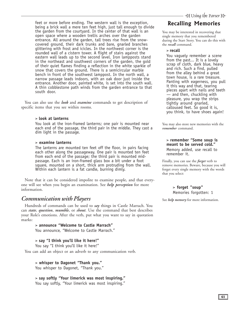feet or more before ending. The western wall is the exception, being a brick wall a mere ten feet high, just tall enough to divide the garden from the courtyard. In the center of that wall is an open space where a wooden trellis arches over the garden entrance. All around the garden, tall trees rise from the snowcovered ground, their dark trunks and bare, gnarled branches glittering with frost and icicles. In the northwest corner is the rounded wall of a cistern tower. A flight of stairs against the eastern wall leads up to the second level. Iron lampposts stand in the northeast and southwest corners of the garden, the gold of their quiet flames finding a reflection in the white sparkle of snow that covers the ground. There is a semicircular marble bench in front of the southwest lamppost. In the north wall, a narrow passage leads indoors, with an oak door just inside the entrance. Another door, painted white, is set into the south wall. A thin cobblestone path winds from the garden entrance to that south door.

You can also use the *look* and *examine* commands to get description of specific items that you see within rooms.

#### > **look at lanterns**

You look at the iron-framed lanterns; one pair is mounted near each end of the passage, the third pair in the middle. They cast a dim light in the passage.

#### > **examine lanterns**

The lanterns are mounted ten feet off the floor, in pairs facing each other along the passageway. One pair is mounted ten feet from each end of the passage; the third pair is mounted midpassage. Each is an iron-framed glass box a bit under a foot square, mounted on a short, thick arm protruding from the wall. Within each lantern is a fat candle, burning dimly.

Note that it can be considered impolite to examine people, and that everyone will see when you begin an examination. See *help perception* for more information.

### *Communication with Players*

Hundreds of commands can be used to *say* things in Castle Marrach. You can *state*, *question*, *mumble*, or *shout*. Use the command that best describes your Role's emotions. After the verb, put what you want to say in quotation marks:

> > **announce "Welcome to Castle Marrach"** You announce, "Welcome to Castle Marrach."

#### > **say "I think you'll like it here!"**

You say "I think you'll like it here!"

You can add an object or an adverb to any communication verb.

#### > **whisper to Dagonet "Thank you."**

You whisper to Dagonet, "Thank you."

#### > **say softly "Your limerick was most inspiring."** You say softly, "Your limerick was most inspiring."

## **Recalling Memories**

You may be interested in recovering that single memory that you remembered during the Start Story. You can do this with the *recall* command.

> **recall**

You vaguely remember a scene from the past... It is a lovely scrap of cloth, dark blue, heavy and rich. Such a find, pulled from the alley behind a great town house, is a rare treasure. Panting with eagerness, you pull it this way and that, tearing pieces apart with nails and teeth — and then, chuckling with pleasure, you wrap the strips tightly around gnarled, calloused feet. So good it is, you think, to have shoes again!

You may also store new memories with the *remember* command.

#### > **remember "Some soup is meant to be served cold."**

Memory added, use recall to remember it.

Finally, you can use the *forget* verb to remove memories. Beware, because you will forget every single memory with the words that you select:

#### > **forget "soup"** Memories forgotten: 1

See *help memory* for more information.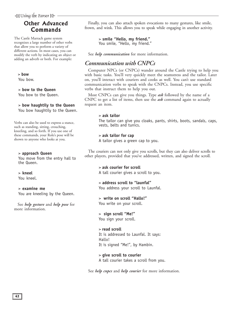## Other Advanced Commands

The Castle Marrach game system recognizes a large number of other verbs that allow you to perform a variety of different actions. In most cases, you can modify the verb by indicating an object or adding an adverb or both. For example:

#### > **bow**

You bow.

## > **bow to the Queen**

You bow to the Queen.

#### > **bow haughtily to the Queen**

You bow haughtily to the Queen.

Verbs can also be used to express a stance, such as standing, sitting, crouching, kneeling, and so forth. If you use one of these commands, your Role's pose will be shown to anyone who looks at you.

#### > **approach Queen**

You move from the entry hall to the Queen.

#### > **kneel**

You kneel.

#### > **examine me**

You are kneeling by the Queen.

See *help gesture* and *help pose* for more information.

Finally, you can also attach spoken evocations to many gestures, like smile, frown, and wink. This allows you to speak while engaging in another activity.

### > **smile "Hello, my friend."**

You smile, "Hello, my friend."

See *help communication* for more information.

## *Communication with CNPCs*

Computer NPCs (or CNPCs) wander around the Castle trying to help you with basic tasks. You'll very quickly meet the seamstress and the tailor. Later on, you'll interact with couriers and cooks as well. You can't use standard communication verbs to speak with the CNPCs. Instead, you use specific verbs that instruct them to help you out.

Most CNPCs can give you things. Type *ask* followed by the name of a CNPC to get a list of items, then use the *ask* command again to actually request an item.

#### > **ask tailor**

The tailor can give you cloaks, pants, shirts, boots, sandals, caps, vests, belts and tunics.

#### > **ask tailor for cap**

A tailor gives a green cap to you.

The couriers can not only give you scrolls, but they can also deliver scrolls to other players, provided that you've addressed, written, and signed the scroll.

#### > **ask courier for scroll** A tall courier gives a scroll to you.

#### > **address scroll to "launfal"** You address your scroll to Launfal.

> **write on scroll "Hallo!"**

You write on your scroll.

### > **sign scroll "Me!"**

You sign your scroll.

#### > **read scroll**

It is addressed to Launfal. It says: Hallo! It is signed "Me!", by Hambin.

#### > **give scroll to courier**

A tall courier takes a scroll from you.

See *help cnpcs* and *help courier* for more information.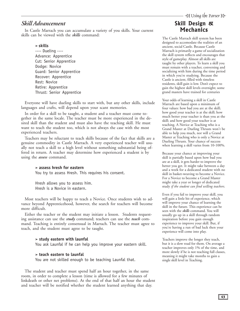## *Skill Advancement*

In Castle Marrach you can accumulate a variety of you skills. Your current skills can be viewed with the *skills* command:

#### **> skills**

---- Dueling ---- Advance: Apprentice Cut: Senior Apprentice Dodge: Novice Guard: Senior Apprentice Recover: Apprentice Rest: Novice Retire: Apprentice Thrust: Senior Apprentice

Everyone will have dueling skills to start with, but any other skills, include languages and crafts, will depend upon your scant memories.

In order for a skill to be taught, a student and a teacher must come together in the same locale. The teacher must be more experienced in the desired skill than the student and must also have the teaching skill. He must want to teach the student too, which is not always the case with the most experienced teachers.

Teachers may be reluctant to teach skills because of the fact that skills are a genuine commodity in Castle Marrach. A very experienced teacher will usually not teach a skill to a high level without something substantial being offered in return. A teacher may determine how experienced a student is by using the *assess* command.

#### **> assess hresh for eastern**

You try to assess Hresh. This requires his consent.

Hresh allows you to assess him. Hresh is a Novice in eastern.

Most teachers will be happy to teach a Novice. Once students wish to advance beyond Apprenticehood, however, the search for teachers will become more difficult.

Either the teacher or the student may initiate a lesson. Students requesting assistance can use the *study* command; teachers can use the *teach* command. Teaching is entirely consensual in Marrach. The teacher must agree to teach, and the student must agree to be taught.

#### **> study eastern with launfal**

You ask Launfal if he can help you improve your eastern skill.

#### **> teach eastern to launfal**

You are not skilled enough to be teaching Launfal that.

The student and teacher must spend half an hour together, in the same room, in order to complete a lesson (time is allowed for a few minutes of linkdeath or other net problems). At the end of that half an hour the student and teacher will be notified whether the student learned anything that day.

## Skill Design & Mechanics

The Castle Marrach skill system has been designed to accomodate the realities of an ancient, social Castle. Because Castle Marrach is primarily a game of socialization the skill system reflects and encourages that style of gameplay. Almost all skills are taught by other players. To learn a skill you must remain with a teacher, conversing and socializing with him during the time period in which you're studying. Because the Castle is ancient, filled with timeless residents, skill gain is low. Don't expect to gain the highest skill levels overnight; some grand masters have trained for centuries

Your odds of learning a skill in Castle Marrach are based upon a minimum of four values: how bad you are at the skill; how good your teacher is at the skill; how much better your teacher is than you at the skill; and how good your teacher is at teaching. A Novice at Teaching who is a Grand Master at Dueling Thrusts won't be able to help you much, nor will a Grand Master at Teaching who is only a Novice at Dueling Thrusts. Your chance of success when learning a skill varies from 10-100%.

Because your chance at improving your skill is partially based upon how bad you are at a skill, it gets harder to improve the better you get. It might take between a day and a week for a dedicated student with no skill in basket-weaving to become a Novice. For a Novice to become a Grand Master might take a year or longer of dedicated study *if the student can find willing teachers*.

Even if you fail to improve your skill, you will gain a little bit of experience, which will improve your chance of learning the skill in the future. This experience can be seen with the *skills* command. You will usually go up in a skill through random inspiration before you gain enough experience to improve your skill. But, if you're having a run of bad luck then your experience will come into play.

Teachers improve the longer they teach, but it is a slow road for them. On average a teacher improves only 1% of the time, and more slowly if he is not teaching full classes, meaning it might take months to gain a single skill level in Teaching.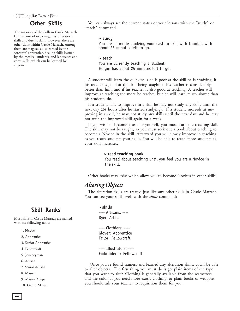## **Other Skills**

The majority of the skills in Castle Marrach fall into one of two categories: alteration skills and duelist skills. However, there are other skills within Castle Marrach. Among them are magical skills learned by the sorceress' apprentice, healing skills learned by the medical students, and languages and chess skills, which can be learned by anyone.

You can always see the current status of your lessons with the "study" or "teach" command.

#### **> study**

You are currently studying your eastern skill with Launfal, with about 26 minutes left to go.

#### **> teach**

You are currently teaching 1 student: Hergin has about 25 minutes left to go.

A student will learn the quickest is he is poor at the skill he is studying, if his teacher is good at the skill being taught, if his teacher is considerably better than him, and if his teacher is also good at teaching. A teacher will improve at teaching the more he teaches, but he will learn much slower than his students do.

If a student fails to improve in a skill he may not study any skills until the next day (24 hours after he started studying). If a student succeeds at improving in a skill, he may not study any skills until the next day, and he may not train the improved skill again for a week.

If you wish to become a teacher yourself, you must learn the teaching skill. The skill may not be taught, so you must seek out a book about teaching to become a Novice in the skill. Afterward you will slowly improve in teaching as you teach students your skills. You will be able to teach more students as your skill increases.

#### **> read teaching book**

 You read about teaching until you feel you are a Novice in the skill.

Other books may exist which allow you to become Novices in other skills.

## *Altering Objects*

The alteration skills are treated just like any other skills in Castle Marrach. You can see your skill levels with the *skills* command:

## Skill Ranks

Most skills in Castle Marrach are named with the following ranks:

- 1. Novice
- 2. Apprentice
- 3. Senior Apprentice
- 4. Fellowcraft
- 5. Journeyman
- 6. Artisan
- 7. Senior Artisan
- 8. Master
- 9. Master Adept
- 10. Grand Master

#### **> skills**

---- Artisans: ---- Dyer: Artisan

---- Clothiers: ---- Glover: Apprentice Tailor: Fellowcraft

---- Illustrators: ---- Embroiderer: Fellowcraft

 Once you've found trainers and learned any alteration skills, you'll be able to alter objects. The first thing you must do is get plain items of the type that you want to alter. Clothing is generally available from the seamstress and the tailor. If you need more exotic clothing, or plain books or weapons, you should ask your teacher to requisition them for you.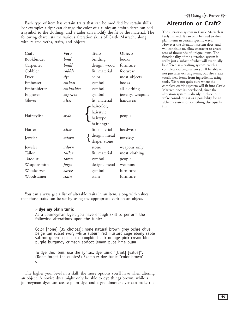Each type of item has certain traits that can be modified by certain skills. For example: a dyer can change the color of a tunic; an embroiderer can add a symbol to the clothing; and a tailor can modify the fit or the material. The following chart lists the various alteration skills of Castle Marrach, along with related verbs, traits, and objects.

|             |               |               |                  | VV 111        |
|-------------|---------------|---------------|------------------|---------------|
| Craft       | <b>Verb</b>   | <b>Traits</b> | Objects          | tens          |
| Bookbinder  | bind          | binding       | books            | func<br>reall |
| Carpenter   | build         | design, wood  | furniture        | be o          |
| Cobbler     | cobble        | fit, material | footwear         | com<br>not    |
| Dyer        | $\frac{d}{y}$ | color         | most objects     | total         |
| Embosser    | emboss        | symbol        | books            | tool:         |
| Embroiderer | embroider     | symbol        | all clothing     | com<br>Mar    |
| Engraver    | engrave       | symbol        | jewelry, weapons | alter         |
| Glover      | alter         | fit, material | handwear         | we'r<br>alch  |
|             |               | haircolor,    |                  | fun.          |
|             | style         | hairstyle,    |                  |               |
| Hairstylist |               | hairtype      | people           |               |
|             |               | hairlength    |                  |               |
| Hatter      | alter         | fit, material | headwear         |               |
| Jeweler     | adorn         | design, metal | jewelery         |               |
|             |               | shape, stone  |                  |               |
| Jeweler     | adorn         | stone         | weapons only     |               |
| Tailor      | tailor        | fit, material | most clothing    |               |
| Tatooist    | tatoo         | symbol        | people           |               |
| Weaponsmith | forge         | design, metal | weapons          |               |
| Woodcarver  | carve         | symbol        | furniture        |               |
| Woodstainer | stain         | stain         | furniture        |               |

Alteration or Craft?

The alteration system in Castle Marrach is fairly limited. It can only be used to alter plain items in certain specific ways. However the alteration system does, and will continue to, allow character to create tens of thousands of unique items. The functionality of the alteration system is really just a subset of what will eventually be offered as a crafting system. With a complete crafting system you'll be able to not just alter existing items, but also create totally new items from ingredients, using tools. We're not quite sure where the complete crafting system will fit into Castle Marrach once its developed, since the alteration system is already in place, but we're considering it as a possibility for an alchemy system or something else equally

You can always get a list of alterable traits in an item, along with values that those traits can be set by using the appropriate verb on an object.

#### > **dye my plain tunic**

As a Journeyman Dyer, you have enough skill to perform the following alterations upon the tunic:

Color [none] (35 choices): none natural brown grey ochre olive beige tan russet ivory white auburn red mustard sage ebony sable saffron green sepia ecru pumpkin black orange pink cream blue purple burgundy crimson apricot lemon puce lime plum

To dye this item, use the syntax: dye tunic "[trait] [value]". (Don't forget the quotes!) Example: dye tunic "color brown" >

The higher your level in a skill, the more options you'll have when altering an object. A novice dyer might only be able to dye things brown, while a journeyman dyer can create plum dye, and a grandmaster dyer can make the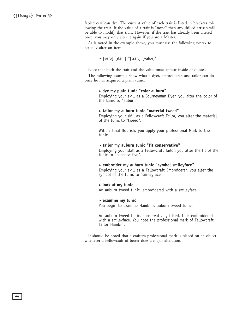fabled cerulean dye. The current value of each trait is listed in brackets following the trait. If the value of a trait is "none" then any skilled artisan will be able to modify that trait. However, if the trait has already been altered once, you may only alter it again if you are a Master.

As is noted in the example above, you must use the following syntax to actually alter an item:

> [verb] [item] "[trait] [value]"

Note that both the trait and the value must appear inside of quotes.

The following example show what a dyer, embroiderer, and tailor can do once he has acquired a plain tunic:

#### **> dye my plain tunic "color auburn"**

Employing your skill as a Journeyman Dyer, you alter the color of the tunic to "auburn".

#### **> tailor my auburn tunic "material tweed"**

Employing your skill as a Fellowcraft Tailor, you alter the material of the tunic to "tweed".

With a final flourish, you apply your professional Mark to the tunic.

#### **> tailor my auburn tunic "fit conservative"**

Employing your skill as a Fellowcraft Tailor, you alter the fit of the tunic to "conservative".

#### **> embroider my auburn tunic "symbol smileyface"**

Employing your skill as a Fellowcraft Embroiderer, you alter the symbol of the tunic to "smileyface".

#### **> look at my tunic**

An auburn tweed tunic, embroidered with a smileyface.

#### **> examine my tunic**

You begin to examine Hambin's auburn tweed tunic.

An auburn tweed tunic, conservatively fitted. It is embroidered with a smileyface. You note the professional mark of Fellowcraft Tailor Hambin.

It should be noted that a crafter's professional mark is placed on an object whenever a Fellowcraft of better does a major alteration.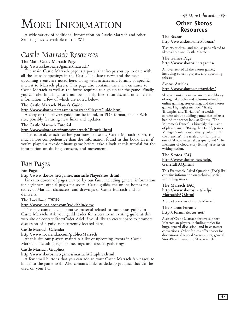# <span id="page-46-0"></span>MORE INFORMATION

A wide variety of additional information on Castle Marrach and other Skotos games is available on the Web.

## Castle Marrach Resources

#### **The Main Castle Marrach Page <http://www.skotos.net/games/marrach/>**

The main Castle Marrach page is a portal that keeps you up to date with all the latest happenings in the Castle. The latest news and the next upcoming events are noted here, along with articles and forums of specific interest to Marrach players. This page also contains the main entrance to Castle Marrach as well as the forms required to sign up for the game. Finally, you can also find links to a number of help files, tutorials, and other related information, a few of which are noted below.

#### **The Castle Marrach Player's Guide**

### **[http://www.skotos.net/games/marrach/PlayersGuide.html](http://www.skotos.net/games/marrach/PlayersGuide.html )**

A copy of this player's guide can be found, in PDF format, at our Web site, possibly featuring new links and updates.

#### **The Castle Marrach Tutorial**

#### **[http://www.skotos.net/games/marrach/Tutorial.html](http://www.skotos.net/games/marrach/Tutorial.html )**

This tutorial, which teaches you how to use the Castle Marrach parser, is much more comprehensive than the information found in this book. Even if you've played a text-dominant game before, take a look at this tutorial for the information on dueling, consent, and movement.

## Fan Pages

#### **Fan Pages**

#### **<http://www.skotos.net/games/marrach/PlayerSites.shtml>**

Links to dozens of pages created by our fans, including general information for beginners, official pages for several Castle guilds, the online homes for scores of Marrach characters, and drawings of Castle Marrach and its denizens.

#### **The Localhost TWiki**

#### **<http://www.localhost.com/twiki/bin/view>**

This site contains collaborative material related to numerous guilds in Castle Marrach. Ask your guild leader for access to an existing guild at this web site or contact StoryCoder Aziel if you'd like to create space to promote discussion of a guild not currently located here.

#### **Castle Marrach Calendar**

#### **<http://www.localendar.com/public/Marrach>**

At this site our players maintain a list of upcoming events in Castle Marrach, including regular meetings and special gatherings.

#### **Castle Marrach Graphics**

#### **<http://www.skotos.net/games/marrach/Graphics.html>**

A few small buttons that you can add to your Castle Marrach fan pages, to link into the game itself. Also contains links to desktop graphics that can be used on your PC.

## **Other Skotos** Resources

#### **The Bazaar <http://www.skotos.net/bazaar/>**

T-shirts, stickers, and mouse pads related to Skotos Tech and Castle Marrach.

#### **The Games Page <http://www.skotos.net/games/>**

An overview of all the Skotos games, including current projects and upcoming releases.

#### **Skotos Articles**

### **<http://www.skotos.net/articles/>**

Skotos maintains an ever-increasing library of original articles and columns related to online gaming, storytelling, and the Skotos games. Highlights include: "Trials, Triumphs, and Trivialities", a weekly column about building games that offers a behind-the-scenes look at Skotos; "The Mummer's Dance", a biweekly discussion of player issues; "Biting the Hand", Jessica Mulligan's infamous industry column; "In the Trenches", the trials and triumphs of one of Skotos' external designers; and "The Elements of Good StoryTelling", a series on writing fiction.

#### **The Skotos FAQ [http://www.skotos.net/help/](http://www.skotos.net/help/GeneralFAQ.html) [GeneralFAQ.html](http://www.skotos.net/help/GeneralFAQ.html)**

This Frequently Asked Question (FAQ) list contains information on technical, social, and billing issues.

#### **The Marrach FAQ [http://www.skotos.net/help/](http://www.skotos.net/help/MarrachFAQ.html ) [MarrachFAQ.html](http://www.skotos.net/help/MarrachFAQ.html )**

A broad overview of Castle Marrach.

#### **The Skotos Forums <http://forum.skotos.net/>**

A set of Castle Marrach forums support Marrachian players, including topics for bugs, general discussion, and in-character conversions. Other forums offer spaces for discussions of general Skotos issues, general StoryPlayer issues, and Skotos articles.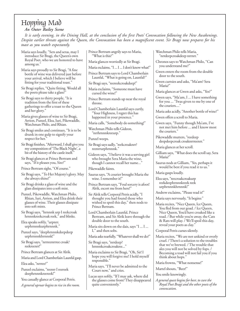# <span id="page-47-0"></span>Hopping Mad

### *An Outer Bailey Scene*

*It is early evening, in the Dining Hall, at the conclusion of the first Poets' Convocation following the New Awakenings. Despite earlier threats against the Queen, the Convocation has been a magnificent event. Sir Bragi now prepares for his toast as you watch expectantly.*

Maria says loudly, "Sers and seras, may I introduce Sir Bragi, the Queen's own Royal Poet, who we are honored to have among us."

Maria says proudly to Sir Bragi, "A fine bottle of wine was delivered just before your arrival, which I believe will be fitting for your traditional toast."

Sir Bragi replies, "Quite fitting. Would all the poets please take a glass?"

Sir Bragi says to thirty people, "It is tradition from the first of these gatherings to offer a toast to the Queen and her glory."

Maria gives glasses of wine to Sir Bragi, Arrion, Punzel, Elea, Iuri, Pikewaddle, Watchman Philo, and Rhian.

Sir Bragi smiles and continues, "It is to be drunk in one gulp to signify your respect for her."

Sir Bragi finishes, "Afterward, I shall give you my composition of 'The Black Night', a bit of the history of the castle itself."

Sir Bragi glances at Prince Bertram and says, "If it pleases you, Sire?"

Prince Bertram sighs, "Of course."

- Sir Bragi says, "To Her Majesty's glory. May she always shine!"
- Sir Bragi drinks a glass of wine and the glass dissipates into a soft mist.

Punzel, Pikewaddle, Watchman Philo, Rhian, Iuri, Arrion, and Elea drink their glasses of wine. Their glasses dissipate into soft mists.

Sir Bragi says, "hrnnnk urp I reekcroak hrnnnkreekcroak reek," and blinks.

Elea speaks softly, "urpnrr. urphrnnnkurphrnnnk."

- Punzel says, "deephrnnnkdeepdeep urphrnnnkhrnnnk!"
- Sir Bragi says, "nrrreenrrree croak? reekreenrr!"

Prince Bertram glances at Sir Alrik.

Maria and Lord Chamberlain Launfal gasp.

Elea asks, "nrrree?"

Punzel exclaims, "reenrr I reereek deephrnnnkreereek!"

You casually glance at Corporal Petris.

*A general uproar begins to rise in the room.*

Prince Bertram angrily says to Maria, "What is this?"

Maria glances worriedly at Sir Bragi. Maria exclaims, "I ... I ... I don't know what!"

Prince Bertram says to Lord Chamberlain Launfal, "What is going on, Launfal?"

Sir Bragi says, "reereekcroakdeep!"

Maria exclaims, "Someone must have cursed the wine!"

Prince Bertram stands up near the royal throne.

Lord Chamberlain Launfal says curtly, "Your Highness, I regret this has happened in your presence."

Maria calls, "Somebody do something!"

Watchman Philo tells Gideon, "nrrhrnnnkreeurp."

- Punzel weeps.
- Sir Bragi says sadly, "reekcroaknrr? reenrrurphrnnnk."

Gideon says, "I believe it was a serving girl who brought Sera Maria the wine, though I cannot recall her name..."

- Pikewaddle faints.
- Saurus says, "A courier brought Maria the wine. I remember it!"
- Prince Bertram says, "Foul sorcery is afoot! Alrik, escort me from here!"

Sir Alrik tells Corporal Petris acidly, "I thought you had found those who wished to spoil this day," then nods to Prince Bertram.

Lord Chamberlain Launfal, Prince Bertram, and Sir Alrik leave through the double door to the south.

Maria sits down on the dais, says "I ... I ... I," and then sobs.

Maria asks tearfully, "Whatever shall we do?"

Sir Bragi says, "nrrdeep? hrnnnkcroakcroakree..."

Maria exclaims to Sir Bragi, "Oh, Sir! I hope you will forgive me! I hold myself responsible."

Maria says, "I'll never be admitted to the Court now," and cries.

Lucas says softly, "If I may ask, where did the glasses come from? They disappeared quite conveniently."

Watchman Philo tells Maria, "nrrdeepcroakdeep nrrnrr."

Chronos says to Watchman Philo, "Can you understand me?"

Gwen enters the room from the double door to the south.

Gwen curtsies and asks, "Ma'am? Sera Maria?"

Maria glances at Gwen and asks, "Yes?"

- Gwen says, "Ma'am, I ... I have something for you ... 'Twas given to me by one of the couriers...."
- Maria asks acidly, "Another bottle of wine?"

Gwen offers a scroll to Maria.

Gwen says, "Funny though Ma'am, I've not met him before ... and I know most the couriers."

Pikewaddle mutters, "reedeep deepdeepcroak croaknrrreenrr."

Maria glances at her scroll.

Gilliam says, "What does the scroll say, Sera Maria?"

Saurus nods at Gilliam, "Yes, perhaps it would be best if you read it to us."

Maria gasps loudly.

Elea says, "reecroakcroakurp reekdeephrnnnkreek reek urphrnnnkhrnnnk!"

Andrew exclaims, "Please read it!"

Maria says nervously, "It begins:"

Maria recites, "Nice Queen, Ice Queen, You fled from our goad. / Ice Queen, Nice Queen, You'd have croaked like a toad. / But while you're away, the Cats & Rats will play. / We'll spoil this day, reveal your poets as clay."

Corporal Petris curses silently.

Maria recites, "We are not unkind or overly cruel. / There's a solution to the troubles that we've brewed. / The trouble that ales you will not be solved by fops. / Becoming a toad will not fail you if you think about hops."

Maria frowns, "What nonsense!"

Martel shouts, "Beer!"

You smile knowingly.

*A general quest begins for beer, to cure the Royal Poet Bragi and the other poets of the convocation.*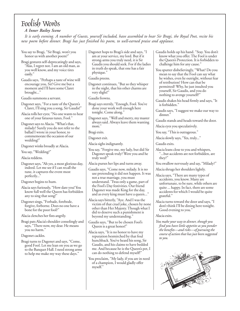## <span id="page-48-0"></span>Foolish Words

#### *A Inner Bailey Scene*

*It is early evening. A number of Guests, yourself included, have assembled to hear Sir Bragi, the Royal Poet, recite his new poem before dinner. Bragi has just finished his poem, to well-earned praise and applause.*

honor us with another poem?" Bragi gestures self-deprecatingly and says, "Alas, I regret not. I am an old man, as you well know, and my voice tires

You say to Bragi, "Sir Bragi, won't you

easily." Gaudis says, "Perhaps a taste of wine will encourage you, Sir! Give me but a moment and I'll have some Claret

Gaudis summons a servant.

brought..."

Dagonet says, "For a taste of the Queen's Claret, I'll sing you a song, Sir Gaudis!"

Alacia rolls her eyes; "No one wants to hear one of your fatuous tunes, Fool."

Dagonet says to Alacia. "What's that, milady? Surely you do not refer to the ballad I wrote in your honor, to commemorate the occasion of our wedding!"

Dagonet winks broadly at Alacia.

You say, "Wedding?"

Alacia reddens.

Dagonet says, "Ah yes, a most glorious day, indeed. Let me see if I can recall the tune, it captures the event most perfectly..."

Dagonet begins to hum.

- Alacia says furiously, "How dare you! You know full well the Queen has forbidden any to sing that song!"
- Dagonet sings, "Forbade, forebode, forgive, forborne. Does no one have a bone for the poor fool?"

Alacia clenches her fists angrily.

Bragi pats Alacia's shoulder consolingly and says, "There now, my dear. He means you no harm."

#### Dagonet cackles.

Bragi turns to Dagonet and says, "Come, good Fool. Let me lean on you as we go to the Banquet Hall. I need strong arms to help me make my way these days."

Dagonet hops to Bragi's side and says, "I am at your service, my lord. But if it strong-arms you truly need, it is Sir Gaudis you should seek. For if the ladies in truth do speak, that one has a fair physique."

Gaudis preens.

- Dagonet continues, "But so they whisper in the night, that his other charms are very slight!"
- Gaudis frowns.
- Bragi says sternly, "Enough, Fool. You've done your work well enough here tonight. Come along."
- Dagonet says, "Well and merry, my master always said. Always leave them wanting more."

Dagonet exit.

Alacia sighs indignantly.

You say, "Forgive me, my lady, but did Sir Dagonet speak truly? Were you and he truly wed?"

Alacia purses her lips and turns away.

- Gaudis says, "Come now, milady. It is no use pretending it did not happen. It was not a true marriage, you must understand. 'Twas only a game, part of the Fool's Day festivities. Our friend Dagonet was made King for the day, and as every king must have a queen..."
- Alacia says bitterly, "Aye. And I was the victim of that cruel joke, chosen by none other than Her Majesty. Though what I did to deserve such a punishment is beyond my understanding."

Gaudis says, "But to be chosen Fool's Queen is a great honor!"

- Alacia says, "It is no honor to have my reputation besmirched by that foul hunchback. You've heard his song, Sir Gaudis, and his claims to have bedded me. And because he is the Queen's pet, I can do nothing to defend myself!"
- You proclaim, "My lady, if you are in need of a champion, I would gladly offer myself."
- Gaudis holds up his hand. "Stay. You don't know what you offer. The Fool is under the Queen's Protection. It is forbidden to challenge him for any cause."
- You sputter disbelievingly, "What? Do you mean to say that the Fool can say what he wishes, even lie outright, without fear of retribution? How can that be permitted? Why, he just insulted you yourself, Sir Gaudis, and you do nothing to avenge yourself?"
- Gaudis shakes his head firmly and says, "It is forbidden."
- Gaudis says, "I suggest we make our way to dinner."
- Gaudis stands and heads toward the door.

Alacia eyes you speculatively.

You say, "This is outrageous."

Alacia slowly says, "Yes, truly..."

Gaudis exits.

Alacia leans close to you and whispers, "...but accidents are not forbidden, are they?"

You swallow nervously and say, "Milady?"

Alacia shrugs her shoulders lightly.

- Alacia says, "There are many types of accidents, you know. Many are unfortunate, to be sure, while others are quite ... happy. In fact, there are some accidents for which I would be quite grateful."
- Alacia turns toward the door and says, "I don't think I'll be dining here tonight. Good evening to you."

#### Alacia exits.

*You make your way to dinner, though you find you have little appetite as you ponder the benefits—and risks—of pursuing the course of action that has just been suggested to you.*

![](_page_48_Picture_52.jpeg)

Bragi exits.